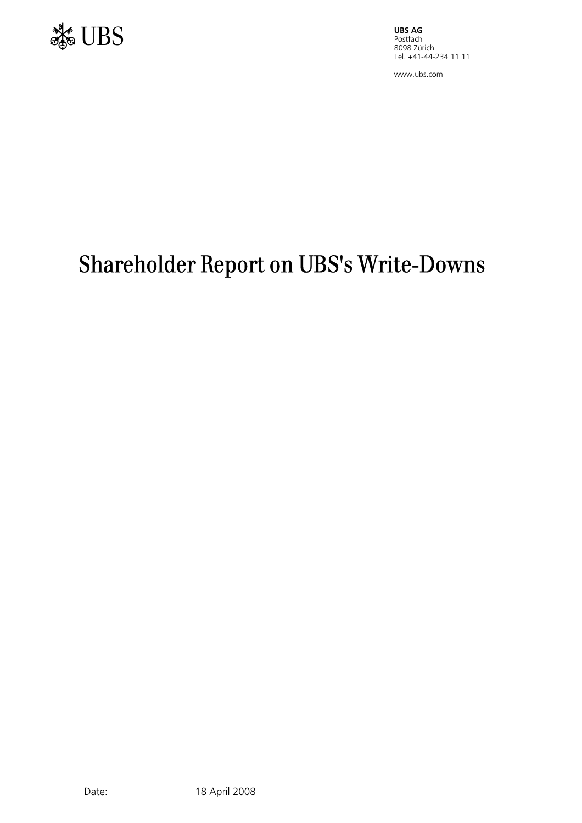

Postfach 8098 Zürich Tel. +41-44-234 11 11

www.ubs.com

# Shareholder Report on UBS's Write-Downs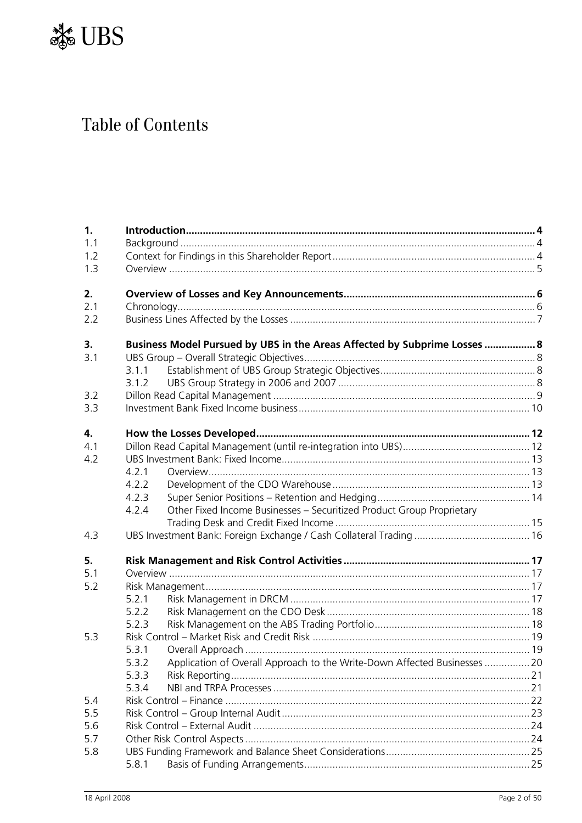# Ste UBS

# **Table of Contents**

| 1.  |                                                                                    |  |
|-----|------------------------------------------------------------------------------------|--|
| 1.1 |                                                                                    |  |
| 1.2 |                                                                                    |  |
| 1.3 |                                                                                    |  |
| 2.  |                                                                                    |  |
| 2.1 |                                                                                    |  |
| 2.2 |                                                                                    |  |
| 3.  | Business Model Pursued by UBS in the Areas Affected by Subprime Losses  8          |  |
| 3.1 |                                                                                    |  |
|     | 3.1.1                                                                              |  |
|     | 3.1.2                                                                              |  |
| 3.2 |                                                                                    |  |
| 3.3 |                                                                                    |  |
| 4.  |                                                                                    |  |
| 4.1 |                                                                                    |  |
| 4.2 |                                                                                    |  |
|     | 4.2.1                                                                              |  |
|     | 4.2.2                                                                              |  |
|     | 4.2.3                                                                              |  |
|     | Other Fixed Income Businesses - Securitized Product Group Proprietary<br>4.2.4     |  |
|     |                                                                                    |  |
| 4.3 |                                                                                    |  |
| 5.  |                                                                                    |  |
| 5.1 |                                                                                    |  |
| 5.2 |                                                                                    |  |
|     | 5.2.1                                                                              |  |
|     | 5.2.2                                                                              |  |
|     | 5.2.3                                                                              |  |
| 5.3 |                                                                                    |  |
|     | 5.3.1                                                                              |  |
|     | Application of Overall Approach to the Write-Down Affected Businesses  20<br>5.3.2 |  |
|     | 5.3.3                                                                              |  |
|     | 5.3.4                                                                              |  |
| 5.4 |                                                                                    |  |
| 5.5 |                                                                                    |  |
| 5.6 |                                                                                    |  |
| 5.7 |                                                                                    |  |
| 5.8 |                                                                                    |  |
|     | 5.8.1                                                                              |  |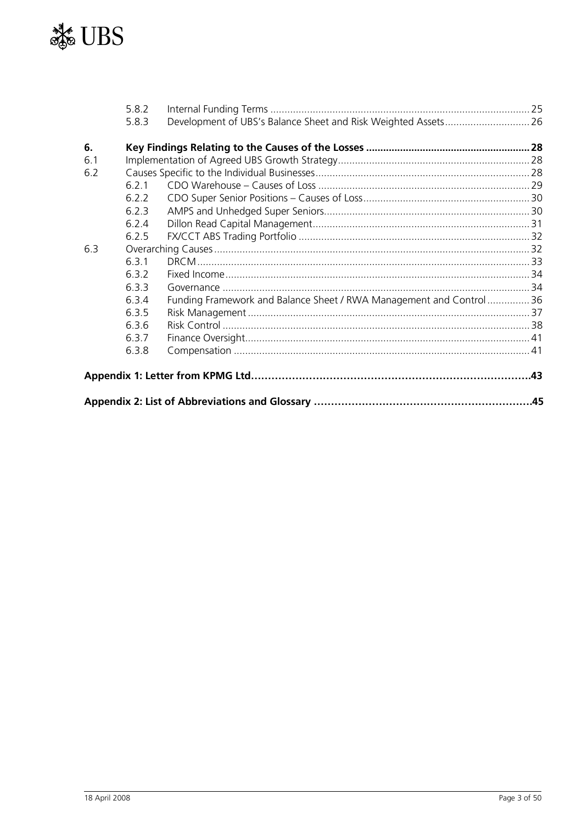

|     | 5.8.2 |                                                                      |  |
|-----|-------|----------------------------------------------------------------------|--|
|     | 5.8.3 |                                                                      |  |
| 6.  |       |                                                                      |  |
| 6.1 |       |                                                                      |  |
| 6.2 |       |                                                                      |  |
|     | 6.2.1 |                                                                      |  |
|     | 6.2.2 |                                                                      |  |
|     | 6.2.3 |                                                                      |  |
|     | 6.2.4 |                                                                      |  |
|     | 6.2.5 |                                                                      |  |
| 6.3 |       |                                                                      |  |
|     | 6.3.1 |                                                                      |  |
|     | 6.3.2 |                                                                      |  |
|     | 6.3.3 |                                                                      |  |
|     | 6.3.4 | Funding Framework and Balance Sheet / RWA Management and Control  36 |  |
|     | 6.3.5 |                                                                      |  |
|     | 6.3.6 |                                                                      |  |
|     | 6.3.7 |                                                                      |  |
|     | 6.3.8 |                                                                      |  |
|     |       |                                                                      |  |
|     |       |                                                                      |  |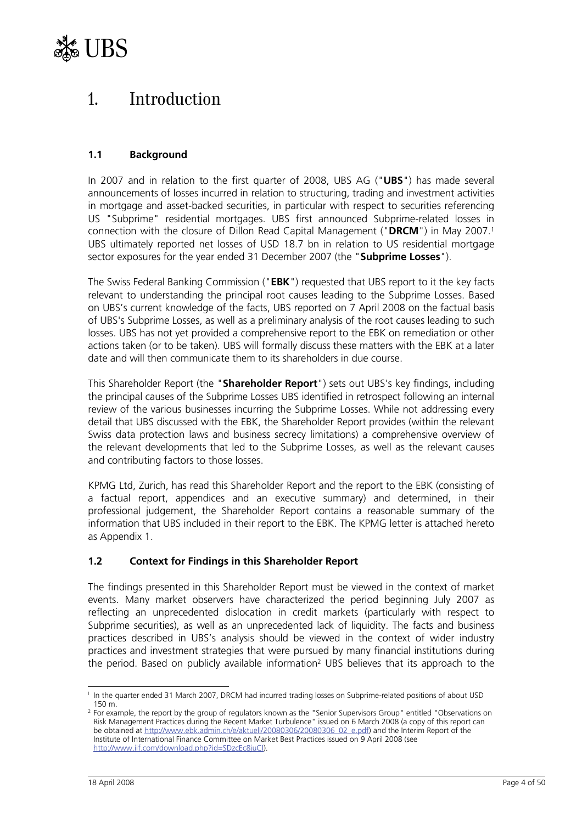

# 1. Introduction

#### **1.1 Background**

In 2007 and in relation to the first quarter of 2008, UBS AG ("**UBS**") has made several announcements of losses incurred in relation to structuring, trading and investment activities in mortgage and asset-backed securities, in particular with respect to securities referencing US "Subprime" residential mortgages. UBS first announced Subprime-related losses in connection with the closure of Dillon Read Capital Management ("**DRCM**") in May 2007.1 UBS ultimately reported net losses of USD 18.7 bn in relation to US residential mortgage sector exposures for the year ended 31 December 2007 (the "**Subprime Losses**").

The Swiss Federal Banking Commission ("**EBK**") requested that UBS report to it the key facts relevant to understanding the principal root causes leading to the Subprime Losses. Based on UBS's current knowledge of the facts, UBS reported on 7 April 2008 on the factual basis of UBS's Subprime Losses, as well as a preliminary analysis of the root causes leading to such losses. UBS has not yet provided a comprehensive report to the EBK on remediation or other actions taken (or to be taken). UBS will formally discuss these matters with the EBK at a later date and will then communicate them to its shareholders in due course.

This Shareholder Report (the "**Shareholder Report**") sets out UBS's key findings, including the principal causes of the Subprime Losses UBS identified in retrospect following an internal review of the various businesses incurring the Subprime Losses. While not addressing every detail that UBS discussed with the EBK, the Shareholder Report provides (within the relevant Swiss data protection laws and business secrecy limitations) a comprehensive overview of the relevant developments that led to the Subprime Losses, as well as the relevant causes and contributing factors to those losses.

KPMG Ltd, Zurich, has read this Shareholder Report and the report to the EBK (consisting of a factual report, appendices and an executive summary) and determined, in their professional judgement, the Shareholder Report contains a reasonable summary of the information that UBS included in their report to the EBK. The KPMG letter is attached hereto as Appendix 1.

#### **1.2 Context for Findings in this Shareholder Report**

The findings presented in this Shareholder Report must be viewed in the context of market events. Many market observers have characterized the period beginning July 2007 as reflecting an unprecedented dislocation in credit markets (particularly with respect to Subprime securities), as well as an unprecedented lack of liquidity. The facts and business practices described in UBS's analysis should be viewed in the context of wider industry practices and investment strategies that were pursued by many financial institutions during the period. Based on publicly available information2 UBS believes that its approach to the

 $\overline{a}$ I In the quarter ended 31 March 2007, DRCM had incurred trading losses on Subprime-related positions of about USD 150 m.

<sup>&</sup>lt;sup>2</sup> For example, the report by the group of regulators known as the "Senior Supervisors Group" entitled "Observations on Risk Management Practices during the Recent Market Turbulence" issued on 6 March 2008 (a copy of this report can be obtained at http://www.ebk.admin.ch/e/aktuell/20080306/20080306\_02\_e.pdf) and the Interim Report of the Institute of International Finance Committee on Market Best Practices issued on 9 April 2008 (see http://www.iif.com/download.php?id=SDzcEc8juCI).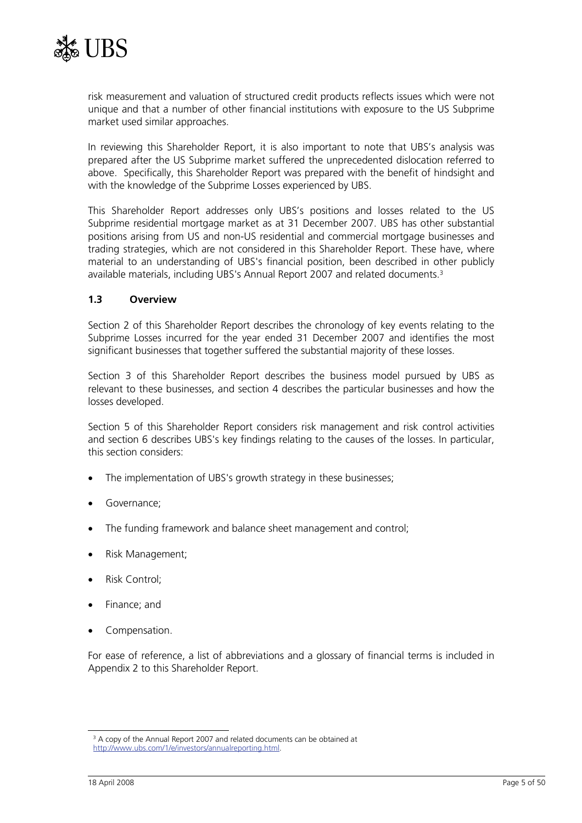

risk measurement and valuation of structured credit products reflects issues which were not unique and that a number of other financial institutions with exposure to the US Subprime market used similar approaches.

In reviewing this Shareholder Report, it is also important to note that UBS's analysis was prepared after the US Subprime market suffered the unprecedented dislocation referred to above. Specifically, this Shareholder Report was prepared with the benefit of hindsight and with the knowledge of the Subprime Losses experienced by UBS.

This Shareholder Report addresses only UBS's positions and losses related to the US Subprime residential mortgage market as at 31 December 2007. UBS has other substantial positions arising from US and non-US residential and commercial mortgage businesses and trading strategies, which are not considered in this Shareholder Report. These have, where material to an understanding of UBS's financial position, been described in other publicly available materials, including UBS's Annual Report 2007 and related documents.<sup>3</sup>

#### **1.3 Overview**

Section 2 of this Shareholder Report describes the chronology of key events relating to the Subprime Losses incurred for the year ended 31 December 2007 and identifies the most significant businesses that together suffered the substantial majority of these losses.

Section 3 of this Shareholder Report describes the business model pursued by UBS as relevant to these businesses, and section 4 describes the particular businesses and how the losses developed.

Section 5 of this Shareholder Report considers risk management and risk control activities and section 6 describes UBS's key findings relating to the causes of the losses. In particular, this section considers:

- The implementation of UBS's growth strategy in these businesses;
- Governance;
- The funding framework and balance sheet management and control;
- Risk Management;
- Risk Control:
- Finance; and
- Compensation.

For ease of reference, a list of abbreviations and a glossary of financial terms is included in Appendix 2 to this Shareholder Report.

l <sup>3</sup> A copy of the Annual Report 2007 and related documents can be obtained at

http://www.ubs.com/1/e/investors/annualreporting.html.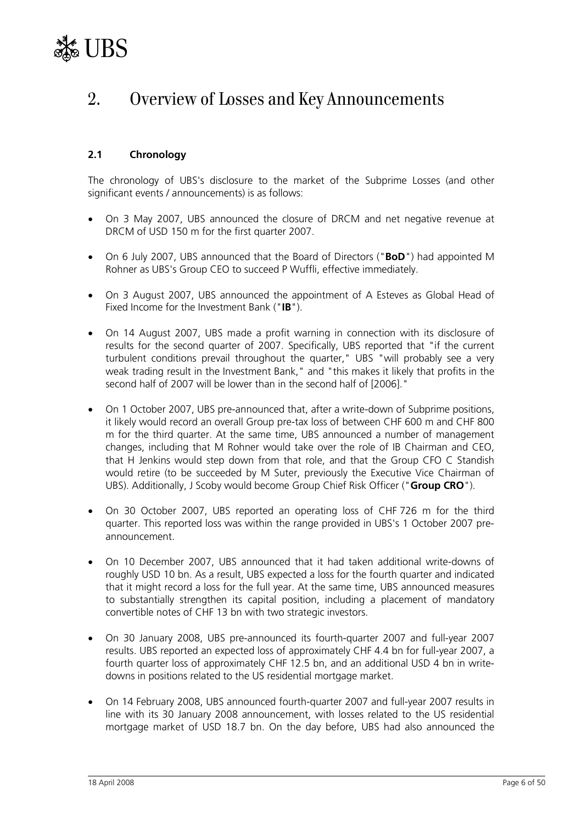

### 2. Overview of Losses and Key Announcements

#### **2.1 Chronology**

The chronology of UBS's disclosure to the market of the Subprime Losses (and other significant events / announcements) is as follows:

- On 3 May 2007, UBS announced the closure of DRCM and net negative revenue at DRCM of USD 150 m for the first quarter 2007.
- On 6 July 2007, UBS announced that the Board of Directors ("**BoD**") had appointed M Rohner as UBS's Group CEO to succeed P Wuffli, effective immediately.
- On 3 August 2007, UBS announced the appointment of A Esteves as Global Head of Fixed Income for the Investment Bank ("**IB**").
- On 14 August 2007, UBS made a profit warning in connection with its disclosure of results for the second quarter of 2007. Specifically, UBS reported that "if the current turbulent conditions prevail throughout the quarter," UBS "will probably see a very weak trading result in the Investment Bank," and "this makes it likely that profits in the second half of 2007 will be lower than in the second half of [2006]."
- On 1 October 2007, UBS pre-announced that, after a write-down of Subprime positions, it likely would record an overall Group pre-tax loss of between CHF 600 m and CHF 800 m for the third quarter. At the same time, UBS announced a number of management changes, including that M Rohner would take over the role of IB Chairman and CEO, that H Jenkins would step down from that role, and that the Group CFO C Standish would retire (to be succeeded by M Suter, previously the Executive Vice Chairman of UBS). Additionally, J Scoby would become Group Chief Risk Officer ("**Group CRO**").
- On 30 October 2007, UBS reported an operating loss of CHF 726 m for the third quarter. This reported loss was within the range provided in UBS's 1 October 2007 preannouncement.
- On 10 December 2007, UBS announced that it had taken additional write-downs of roughly USD 10 bn. As a result, UBS expected a loss for the fourth quarter and indicated that it might record a loss for the full year. At the same time, UBS announced measures to substantially strengthen its capital position, including a placement of mandatory convertible notes of CHF 13 bn with two strategic investors.
- On 30 January 2008, UBS pre-announced its fourth-quarter 2007 and full-year 2007 results. UBS reported an expected loss of approximately CHF 4.4 bn for full-year 2007, a fourth quarter loss of approximately CHF 12.5 bn, and an additional USD 4 bn in writedowns in positions related to the US residential mortgage market.
- On 14 February 2008, UBS announced fourth-quarter 2007 and full-year 2007 results in line with its 30 January 2008 announcement, with losses related to the US residential mortgage market of USD 18.7 bn. On the day before, UBS had also announced the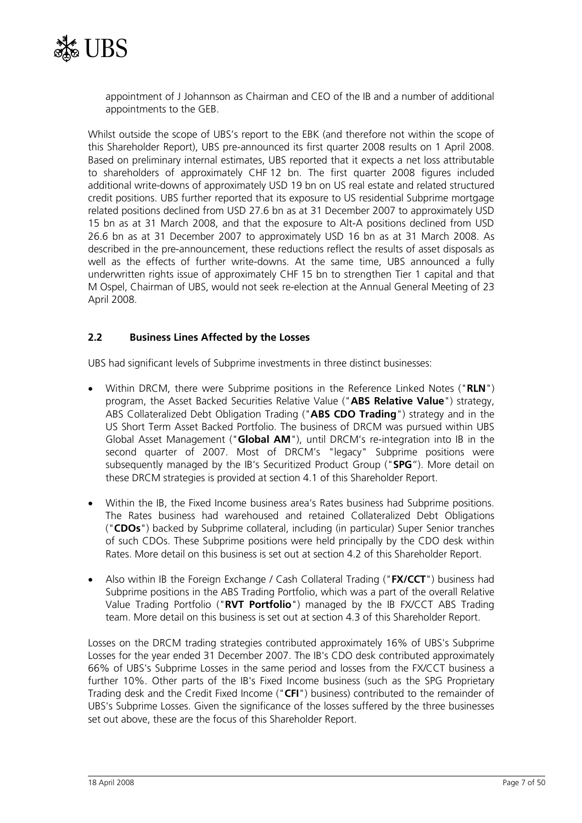

appointment of J Johannson as Chairman and CEO of the IB and a number of additional appointments to the GEB.

Whilst outside the scope of UBS's report to the EBK (and therefore not within the scope of this Shareholder Report), UBS pre-announced its first quarter 2008 results on 1 April 2008. Based on preliminary internal estimates, UBS reported that it expects a net loss attributable to shareholders of approximately CHF 12 bn. The first quarter 2008 figures included additional write-downs of approximately USD 19 bn on US real estate and related structured credit positions. UBS further reported that its exposure to US residential Subprime mortgage related positions declined from USD 27.6 bn as at 31 December 2007 to approximately USD 15 bn as at 31 March 2008, and that the exposure to Alt-A positions declined from USD 26.6 bn as at 31 December 2007 to approximately USD 16 bn as at 31 March 2008. As described in the pre-announcement, these reductions reflect the results of asset disposals as well as the effects of further write-downs. At the same time, UBS announced a fully underwritten rights issue of approximately CHF 15 bn to strengthen Tier 1 capital and that M Ospel, Chairman of UBS, would not seek re-election at the Annual General Meeting of 23 April 2008.

#### **2.2 Business Lines Affected by the Losses**

UBS had significant levels of Subprime investments in three distinct businesses:

- Within DRCM, there were Subprime positions in the Reference Linked Notes ("**RLN**") program, the Asset Backed Securities Relative Value ("**ABS Relative Value**") strategy, ABS Collateralized Debt Obligation Trading ("**ABS CDO Trading**") strategy and in the US Short Term Asset Backed Portfolio. The business of DRCM was pursued within UBS Global Asset Management ("**Global AM**"), until DRCM's re-integration into IB in the second quarter of 2007. Most of DRCM's "legacy" Subprime positions were subsequently managed by the IB's Securitized Product Group ("**SPG**"). More detail on these DRCM strategies is provided at section 4.1 of this Shareholder Report.
- Within the IB, the Fixed Income business area's Rates business had Subprime positions. The Rates business had warehoused and retained Collateralized Debt Obligations ("**CDOs**") backed by Subprime collateral, including (in particular) Super Senior tranches of such CDOs. These Subprime positions were held principally by the CDO desk within Rates. More detail on this business is set out at section 4.2 of this Shareholder Report.
- Also within IB the Foreign Exchange / Cash Collateral Trading ("**FX/CCT**") business had Subprime positions in the ABS Trading Portfolio, which was a part of the overall Relative Value Trading Portfolio ("**RVT Portfolio**") managed by the IB FX/CCT ABS Trading team. More detail on this business is set out at section 4.3 of this Shareholder Report.

Losses on the DRCM trading strategies contributed approximately 16% of UBS's Subprime Losses for the year ended 31 December 2007. The IB's CDO desk contributed approximately 66% of UBS's Subprime Losses in the same period and losses from the FX/CCT business a further 10%. Other parts of the IB's Fixed Income business (such as the SPG Proprietary Trading desk and the Credit Fixed Income ("**CFI**") business) contributed to the remainder of UBS's Subprime Losses. Given the significance of the losses suffered by the three businesses set out above, these are the focus of this Shareholder Report.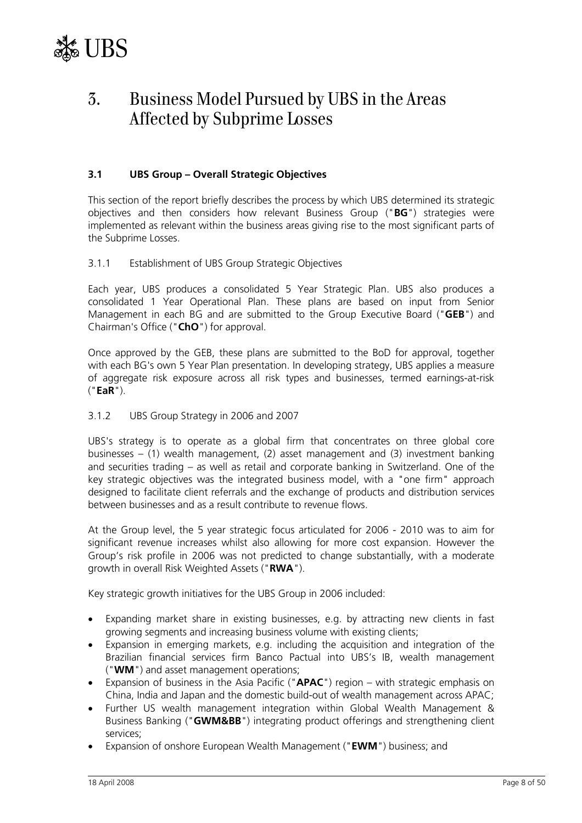

### 3. Business Model Pursued by UBS in the Areas Affected by Subprime Losses

#### **3.1 UBS Group – Overall Strategic Objectives**

This section of the report briefly describes the process by which UBS determined its strategic objectives and then considers how relevant Business Group ("**BG**") strategies were implemented as relevant within the business areas giving rise to the most significant parts of the Subprime Losses.

#### 3.1.1 Establishment of UBS Group Strategic Objectives

Each year, UBS produces a consolidated 5 Year Strategic Plan. UBS also produces a consolidated 1 Year Operational Plan. These plans are based on input from Senior Management in each BG and are submitted to the Group Executive Board ("**GEB**") and Chairman's Office ("**ChO**") for approval.

Once approved by the GEB, these plans are submitted to the BoD for approval, together with each BG's own 5 Year Plan presentation. In developing strategy, UBS applies a measure of aggregate risk exposure across all risk types and businesses, termed earnings-at-risk ("**EaR**").

#### 3.1.2 UBS Group Strategy in 2006 and 2007

UBS's strategy is to operate as a global firm that concentrates on three global core businesses – (1) wealth management, (2) asset management and (3) investment banking and securities trading – as well as retail and corporate banking in Switzerland. One of the key strategic objectives was the integrated business model, with a "one firm" approach designed to facilitate client referrals and the exchange of products and distribution services between businesses and as a result contribute to revenue flows.

At the Group level, the 5 year strategic focus articulated for 2006 - 2010 was to aim for significant revenue increases whilst also allowing for more cost expansion. However the Group's risk profile in 2006 was not predicted to change substantially, with a moderate growth in overall Risk Weighted Assets ("**RWA**").

Key strategic growth initiatives for the UBS Group in 2006 included:

- Expanding market share in existing businesses, e.g. by attracting new clients in fast growing segments and increasing business volume with existing clients;
- Expansion in emerging markets, e.g. including the acquisition and integration of the Brazilian financial services firm Banco Pactual into UBS's IB, wealth management ("**WM**") and asset management operations;
- Expansion of business in the Asia Pacific ("**APAC**") region with strategic emphasis on China, India and Japan and the domestic build-out of wealth management across APAC;
- Further US wealth management integration within Global Wealth Management & Business Banking ("**GWM&BB**") integrating product offerings and strengthening client services;
- Expansion of onshore European Wealth Management ("**EWM**") business; and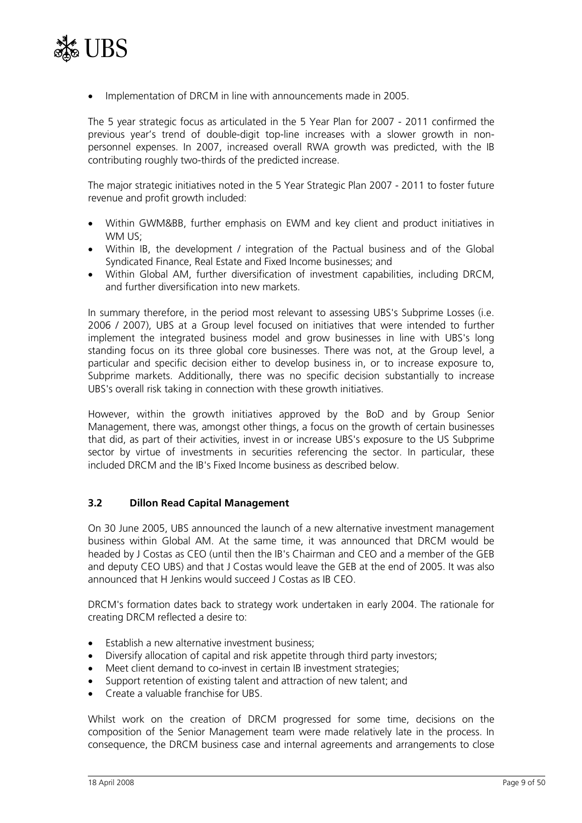

• Implementation of DRCM in line with announcements made in 2005.

The 5 year strategic focus as articulated in the 5 Year Plan for 2007 - 2011 confirmed the previous year's trend of double-digit top-line increases with a slower growth in nonpersonnel expenses. In 2007, increased overall RWA growth was predicted, with the IB contributing roughly two-thirds of the predicted increase.

The major strategic initiatives noted in the 5 Year Strategic Plan 2007 - 2011 to foster future revenue and profit growth included:

- Within GWM&BB, further emphasis on EWM and key client and product initiatives in WM US;
- Within IB, the development / integration of the Pactual business and of the Global Syndicated Finance, Real Estate and Fixed Income businesses; and
- Within Global AM, further diversification of investment capabilities, including DRCM, and further diversification into new markets.

In summary therefore, in the period most relevant to assessing UBS's Subprime Losses (i.e. 2006 / 2007), UBS at a Group level focused on initiatives that were intended to further implement the integrated business model and grow businesses in line with UBS's long standing focus on its three global core businesses. There was not, at the Group level, a particular and specific decision either to develop business in, or to increase exposure to, Subprime markets. Additionally, there was no specific decision substantially to increase UBS's overall risk taking in connection with these growth initiatives.

However, within the growth initiatives approved by the BoD and by Group Senior Management, there was, amongst other things, a focus on the growth of certain businesses that did, as part of their activities, invest in or increase UBS's exposure to the US Subprime sector by virtue of investments in securities referencing the sector. In particular, these included DRCM and the IB's Fixed Income business as described below.

#### **3.2 Dillon Read Capital Management**

On 30 June 2005, UBS announced the launch of a new alternative investment management business within Global AM. At the same time, it was announced that DRCM would be headed by J Costas as CEO (until then the IB's Chairman and CEO and a member of the GEB and deputy CEO UBS) and that J Costas would leave the GEB at the end of 2005. It was also announced that H Jenkins would succeed J Costas as IB CEO.

DRCM's formation dates back to strategy work undertaken in early 2004. The rationale for creating DRCM reflected a desire to:

- Establish a new alternative investment business;
- Diversify allocation of capital and risk appetite through third party investors;
- Meet client demand to co-invest in certain IB investment strategies;
- Support retention of existing talent and attraction of new talent; and
- Create a valuable franchise for UBS.

Whilst work on the creation of DRCM progressed for some time, decisions on the composition of the Senior Management team were made relatively late in the process. In consequence, the DRCM business case and internal agreements and arrangements to close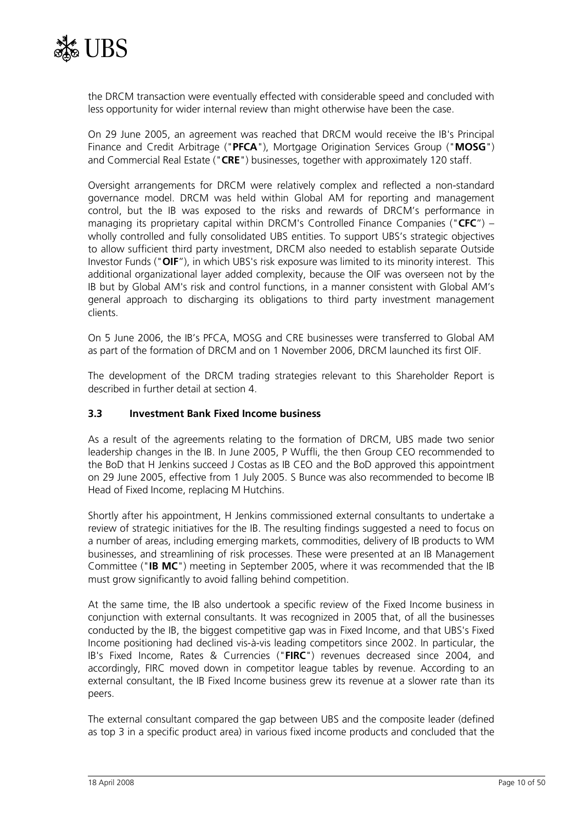

the DRCM transaction were eventually effected with considerable speed and concluded with less opportunity for wider internal review than might otherwise have been the case.

On 29 June 2005, an agreement was reached that DRCM would receive the IB's Principal Finance and Credit Arbitrage ("**PFCA**"), Mortgage Origination Services Group ("**MOSG**") and Commercial Real Estate ("**CRE**") businesses, together with approximately 120 staff.

Oversight arrangements for DRCM were relatively complex and reflected a non-standard governance model. DRCM was held within Global AM for reporting and management control, but the IB was exposed to the risks and rewards of DRCM's performance in managing its proprietary capital within DRCM's Controlled Finance Companies ("**CFC**") – wholly controlled and fully consolidated UBS entities. To support UBS's strategic objectives to allow sufficient third party investment, DRCM also needed to establish separate Outside Investor Funds ("**OIF**"), in which UBS's risk exposure was limited to its minority interest. This additional organizational layer added complexity, because the OIF was overseen not by the IB but by Global AM's risk and control functions, in a manner consistent with Global AM's general approach to discharging its obligations to third party investment management clients.

On 5 June 2006, the IB's PFCA, MOSG and CRE businesses were transferred to Global AM as part of the formation of DRCM and on 1 November 2006, DRCM launched its first OIF.

The development of the DRCM trading strategies relevant to this Shareholder Report is described in further detail at section 4.

#### **3.3 Investment Bank Fixed Income business**

As a result of the agreements relating to the formation of DRCM, UBS made two senior leadership changes in the IB. In June 2005, P Wuffli, the then Group CEO recommended to the BoD that H Jenkins succeed J Costas as IB CEO and the BoD approved this appointment on 29 June 2005, effective from 1 July 2005. S Bunce was also recommended to become IB Head of Fixed Income, replacing M Hutchins.

Shortly after his appointment, H Jenkins commissioned external consultants to undertake a review of strategic initiatives for the IB. The resulting findings suggested a need to focus on a number of areas, including emerging markets, commodities, delivery of IB products to WM businesses, and streamlining of risk processes. These were presented at an IB Management Committee ("**IB MC**") meeting in September 2005, where it was recommended that the IB must grow significantly to avoid falling behind competition.

At the same time, the IB also undertook a specific review of the Fixed Income business in conjunction with external consultants. It was recognized in 2005 that, of all the businesses conducted by the IB, the biggest competitive gap was in Fixed Income, and that UBS's Fixed Income positioning had declined vis-à-vis leading competitors since 2002. In particular, the IB's Fixed Income, Rates & Currencies ("**FIRC**") revenues decreased since 2004, and accordingly, FIRC moved down in competitor league tables by revenue. According to an external consultant, the IB Fixed Income business grew its revenue at a slower rate than its peers.

The external consultant compared the gap between UBS and the composite leader (defined as top 3 in a specific product area) in various fixed income products and concluded that the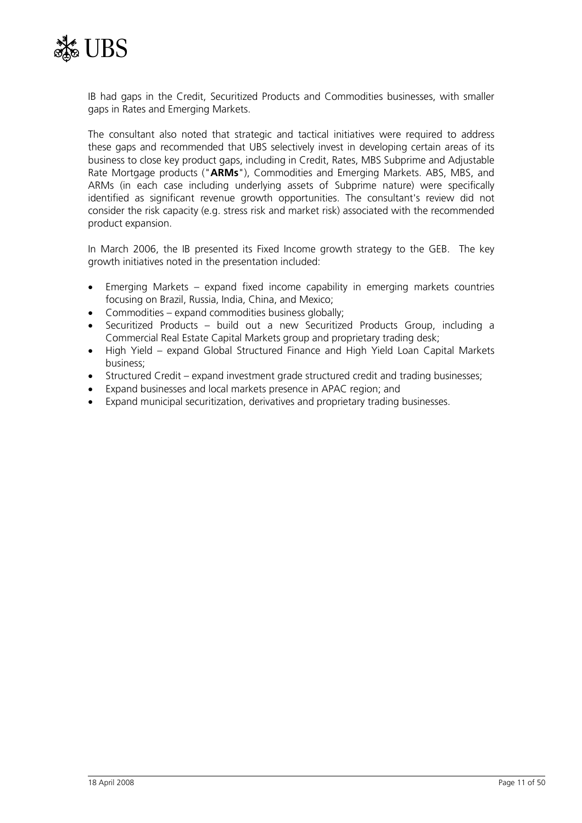

IB had gaps in the Credit, Securitized Products and Commodities businesses, with smaller gaps in Rates and Emerging Markets.

The consultant also noted that strategic and tactical initiatives were required to address these gaps and recommended that UBS selectively invest in developing certain areas of its business to close key product gaps, including in Credit, Rates, MBS Subprime and Adjustable Rate Mortgage products ("**ARMs**"), Commodities and Emerging Markets. ABS, MBS, and ARMs (in each case including underlying assets of Subprime nature) were specifically identified as significant revenue growth opportunities. The consultant's review did not consider the risk capacity (e.g. stress risk and market risk) associated with the recommended product expansion.

In March 2006, the IB presented its Fixed Income growth strategy to the GEB. The key growth initiatives noted in the presentation included:

- Emerging Markets expand fixed income capability in emerging markets countries focusing on Brazil, Russia, India, China, and Mexico;
- Commodities expand commodities business globally;
- Securitized Products build out a new Securitized Products Group, including a Commercial Real Estate Capital Markets group and proprietary trading desk;
- High Yield expand Global Structured Finance and High Yield Loan Capital Markets business;
- Structured Credit expand investment grade structured credit and trading businesses;
- Expand businesses and local markets presence in APAC region; and
- Expand municipal securitization, derivatives and proprietary trading businesses.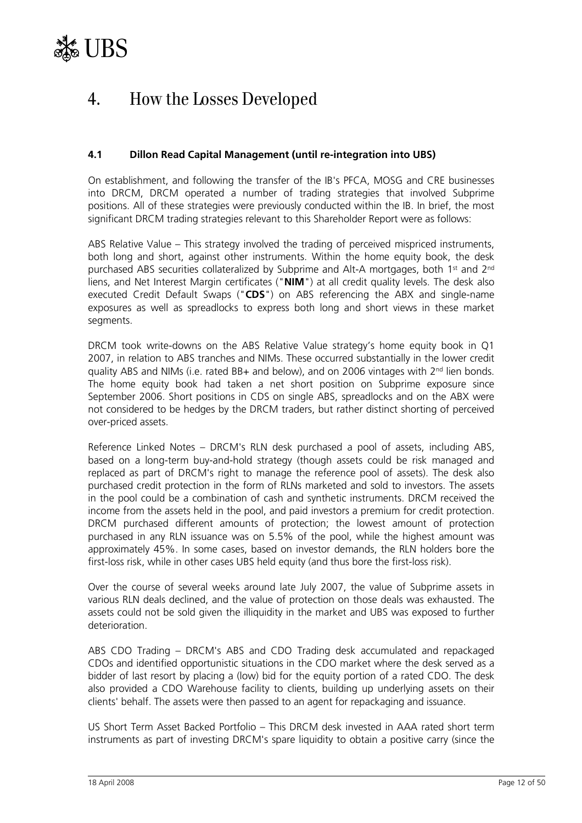

# 4. How the Losses Developed

#### **4.1 Dillon Read Capital Management (until re-integration into UBS)**

On establishment, and following the transfer of the IB's PFCA, MOSG and CRE businesses into DRCM, DRCM operated a number of trading strategies that involved Subprime positions. All of these strategies were previously conducted within the IB. In brief, the most significant DRCM trading strategies relevant to this Shareholder Report were as follows:

ABS Relative Value – This strategy involved the trading of perceived mispriced instruments. both long and short, against other instruments. Within the home equity book, the desk purchased ABS securities collateralized by Subprime and Alt-A mortgages, both 1st and 2nd liens, and Net Interest Margin certificates ("**NIM**") at all credit quality levels. The desk also executed Credit Default Swaps ("**CDS**") on ABS referencing the ABX and single-name exposures as well as spreadlocks to express both long and short views in these market segments.

DRCM took write-downs on the ABS Relative Value strategy's home equity book in Q1 2007, in relation to ABS tranches and NIMs. These occurred substantially in the lower credit quality ABS and NIMs (i.e. rated  $BB+$  and below), and on 2006 vintages with  $2<sup>nd</sup>$  lien bonds. The home equity book had taken a net short position on Subprime exposure since September 2006. Short positions in CDS on single ABS, spreadlocks and on the ABX were not considered to be hedges by the DRCM traders, but rather distinct shorting of perceived over-priced assets.

Reference Linked Notes – DRCM's RLN desk purchased a pool of assets, including ABS, based on a long-term buy-and-hold strategy (though assets could be risk managed and replaced as part of DRCM's right to manage the reference pool of assets). The desk also purchased credit protection in the form of RLNs marketed and sold to investors. The assets in the pool could be a combination of cash and synthetic instruments. DRCM received the income from the assets held in the pool, and paid investors a premium for credit protection. DRCM purchased different amounts of protection; the lowest amount of protection purchased in any RLN issuance was on 5.5% of the pool, while the highest amount was approximately 45%. In some cases, based on investor demands, the RLN holders bore the first-loss risk, while in other cases UBS held equity (and thus bore the first-loss risk).

Over the course of several weeks around late July 2007, the value of Subprime assets in various RLN deals declined, and the value of protection on those deals was exhausted. The assets could not be sold given the illiquidity in the market and UBS was exposed to further deterioration.

ABS CDO Trading – DRCM's ABS and CDO Trading desk accumulated and repackaged CDOs and identified opportunistic situations in the CDO market where the desk served as a bidder of last resort by placing a (low) bid for the equity portion of a rated CDO. The desk also provided a CDO Warehouse facility to clients, building up underlying assets on their clients' behalf. The assets were then passed to an agent for repackaging and issuance.

US Short Term Asset Backed Portfolio – This DRCM desk invested in AAA rated short term instruments as part of investing DRCM's spare liquidity to obtain a positive carry (since the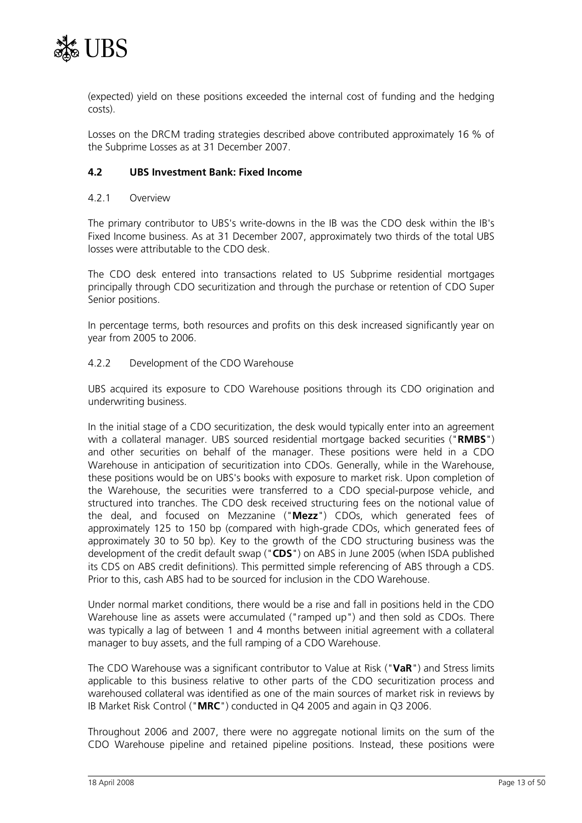

(expected) yield on these positions exceeded the internal cost of funding and the hedging costs).

Losses on the DRCM trading strategies described above contributed approximately 16 % of the Subprime Losses as at 31 December 2007.

#### **4.2 UBS Investment Bank: Fixed Income**

#### 4.2.1 Overview

The primary contributor to UBS's write-downs in the IB was the CDO desk within the IB's Fixed Income business. As at 31 December 2007, approximately two thirds of the total UBS losses were attributable to the CDO desk.

The CDO desk entered into transactions related to US Subprime residential mortgages principally through CDO securitization and through the purchase or retention of CDO Super Senior positions.

In percentage terms, both resources and profits on this desk increased significantly year on year from 2005 to 2006.

#### 4.2.2 Development of the CDO Warehouse

UBS acquired its exposure to CDO Warehouse positions through its CDO origination and underwriting business.

In the initial stage of a CDO securitization, the desk would typically enter into an agreement with a collateral manager. UBS sourced residential mortgage backed securities ("**RMBS**") and other securities on behalf of the manager. These positions were held in a CDO Warehouse in anticipation of securitization into CDOs. Generally, while in the Warehouse, these positions would be on UBS's books with exposure to market risk. Upon completion of the Warehouse, the securities were transferred to a CDO special-purpose vehicle, and structured into tranches. The CDO desk received structuring fees on the notional value of the deal, and focused on Mezzanine ("**Mezz**") CDOs, which generated fees of approximately 125 to 150 bp (compared with high-grade CDOs, which generated fees of approximately 30 to 50 bp). Key to the growth of the CDO structuring business was the development of the credit default swap ("**CDS**") on ABS in June 2005 (when ISDA published its CDS on ABS credit definitions). This permitted simple referencing of ABS through a CDS. Prior to this, cash ABS had to be sourced for inclusion in the CDO Warehouse.

Under normal market conditions, there would be a rise and fall in positions held in the CDO Warehouse line as assets were accumulated ("ramped up") and then sold as CDOs. There was typically a lag of between 1 and 4 months between initial agreement with a collateral manager to buy assets, and the full ramping of a CDO Warehouse.

The CDO Warehouse was a significant contributor to Value at Risk ("**VaR**") and Stress limits applicable to this business relative to other parts of the CDO securitization process and warehoused collateral was identified as one of the main sources of market risk in reviews by IB Market Risk Control ("**MRC**") conducted in Q4 2005 and again in Q3 2006.

Throughout 2006 and 2007, there were no aggregate notional limits on the sum of the CDO Warehouse pipeline and retained pipeline positions. Instead, these positions were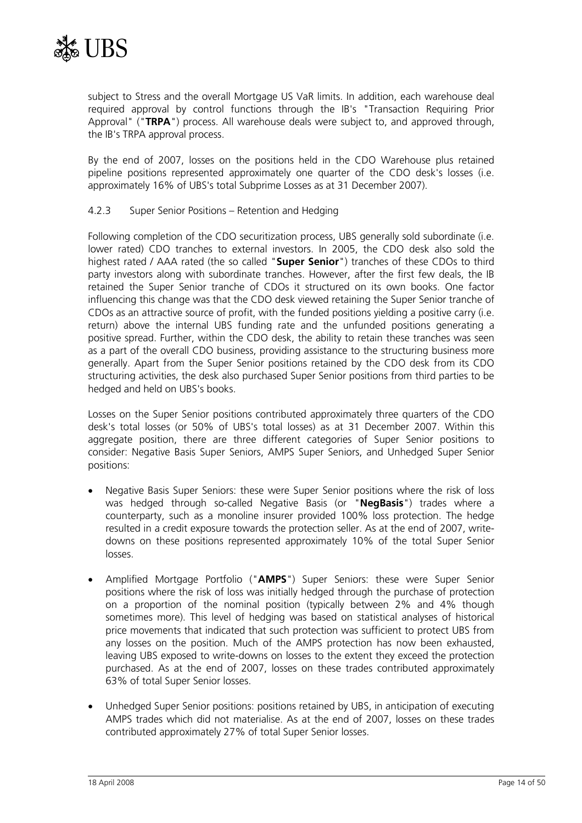

subject to Stress and the overall Mortgage US VaR limits. In addition, each warehouse deal required approval by control functions through the IB's "Transaction Requiring Prior Approval" ("**TRPA**") process. All warehouse deals were subject to, and approved through, the IB's TRPA approval process.

By the end of 2007, losses on the positions held in the CDO Warehouse plus retained pipeline positions represented approximately one quarter of the CDO desk's losses (i.e. approximately 16% of UBS's total Subprime Losses as at 31 December 2007).

#### 4.2.3 Super Senior Positions – Retention and Hedging

Following completion of the CDO securitization process, UBS generally sold subordinate (i.e. lower rated) CDO tranches to external investors. In 2005, the CDO desk also sold the highest rated / AAA rated (the so called "**Super Senior**") tranches of these CDOs to third party investors along with subordinate tranches. However, after the first few deals, the IB retained the Super Senior tranche of CDOs it structured on its own books. One factor influencing this change was that the CDO desk viewed retaining the Super Senior tranche of CDOs as an attractive source of profit, with the funded positions yielding a positive carry (i.e. return) above the internal UBS funding rate and the unfunded positions generating a positive spread. Further, within the CDO desk, the ability to retain these tranches was seen as a part of the overall CDO business, providing assistance to the structuring business more generally. Apart from the Super Senior positions retained by the CDO desk from its CDO structuring activities, the desk also purchased Super Senior positions from third parties to be hedged and held on UBS's books.

Losses on the Super Senior positions contributed approximately three quarters of the CDO desk's total losses (or 50% of UBS's total losses) as at 31 December 2007. Within this aggregate position, there are three different categories of Super Senior positions to consider: Negative Basis Super Seniors, AMPS Super Seniors, and Unhedged Super Senior positions:

- Negative Basis Super Seniors: these were Super Senior positions where the risk of loss was hedged through so-called Negative Basis (or "**NegBasis**") trades where a counterparty, such as a monoline insurer provided 100% loss protection. The hedge resulted in a credit exposure towards the protection seller. As at the end of 2007, writedowns on these positions represented approximately 10% of the total Super Senior losses.
- Amplified Mortgage Portfolio ("**AMPS**") Super Seniors: these were Super Senior positions where the risk of loss was initially hedged through the purchase of protection on a proportion of the nominal position (typically between 2% and 4% though sometimes more). This level of hedging was based on statistical analyses of historical price movements that indicated that such protection was sufficient to protect UBS from any losses on the position. Much of the AMPS protection has now been exhausted, leaving UBS exposed to write-downs on losses to the extent they exceed the protection purchased. As at the end of 2007, losses on these trades contributed approximately 63% of total Super Senior losses.
- Unhedged Super Senior positions: positions retained by UBS, in anticipation of executing AMPS trades which did not materialise. As at the end of 2007, losses on these trades contributed approximately 27% of total Super Senior losses.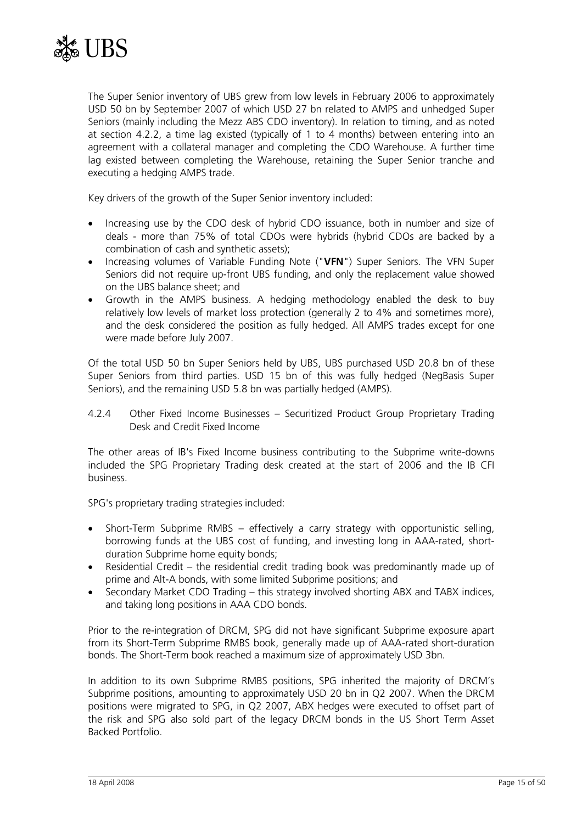

The Super Senior inventory of UBS grew from low levels in February 2006 to approximately USD 50 bn by September 2007 of which USD 27 bn related to AMPS and unhedged Super Seniors (mainly including the Mezz ABS CDO inventory). In relation to timing, and as noted at section 4.2.2, a time lag existed (typically of 1 to 4 months) between entering into an agreement with a collateral manager and completing the CDO Warehouse. A further time lag existed between completing the Warehouse, retaining the Super Senior tranche and executing a hedging AMPS trade.

Key drivers of the growth of the Super Senior inventory included:

- Increasing use by the CDO desk of hybrid CDO issuance, both in number and size of deals - more than 75% of total CDOs were hybrids (hybrid CDOs are backed by a combination of cash and synthetic assets);
- Increasing volumes of Variable Funding Note ("**VFN**") Super Seniors. The VFN Super Seniors did not require up-front UBS funding, and only the replacement value showed on the UBS balance sheet; and
- Growth in the AMPS business. A hedging methodology enabled the desk to buy relatively low levels of market loss protection (generally 2 to 4% and sometimes more), and the desk considered the position as fully hedged. All AMPS trades except for one were made before July 2007.

Of the total USD 50 bn Super Seniors held by UBS, UBS purchased USD 20.8 bn of these Super Seniors from third parties. USD 15 bn of this was fully hedged (NegBasis Super Seniors), and the remaining USD 5.8 bn was partially hedged (AMPS).

#### 4.2.4 Other Fixed Income Businesses – Securitized Product Group Proprietary Trading Desk and Credit Fixed Income

The other areas of IB's Fixed Income business contributing to the Subprime write-downs included the SPG Proprietary Trading desk created at the start of 2006 and the IB CFI business.

SPG's proprietary trading strategies included:

- Short-Term Subprime RMBS effectively a carry strategy with opportunistic selling, borrowing funds at the UBS cost of funding, and investing long in AAA-rated, shortduration Subprime home equity bonds;
- Residential Credit the residential credit trading book was predominantly made up of prime and Alt-A bonds, with some limited Subprime positions; and
- Secondary Market CDO Trading this strategy involved shorting ABX and TABX indices, and taking long positions in AAA CDO bonds.

Prior to the re-integration of DRCM, SPG did not have significant Subprime exposure apart from its Short-Term Subprime RMBS book, generally made up of AAA-rated short-duration bonds. The Short-Term book reached a maximum size of approximately USD 3bn*.* 

In addition to its own Subprime RMBS positions, SPG inherited the majority of DRCM's Subprime positions, amounting to approximately USD 20 bn in Q2 2007. When the DRCM positions were migrated to SPG, in Q2 2007, ABX hedges were executed to offset part of the risk and SPG also sold part of the legacy DRCM bonds in the US Short Term Asset Backed Portfolio.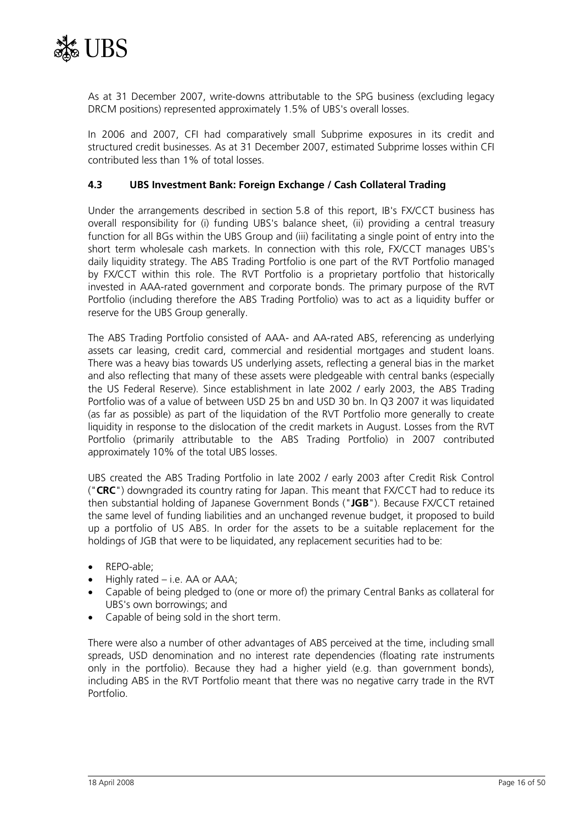

As at 31 December 2007, write-downs attributable to the SPG business (excluding legacy DRCM positions) represented approximately 1.5% of UBS's overall losses.

In 2006 and 2007, CFI had comparatively small Subprime exposures in its credit and structured credit businesses. As at 31 December 2007, estimated Subprime losses within CFI contributed less than 1% of total losses.

#### **4.3 UBS Investment Bank: Foreign Exchange / Cash Collateral Trading**

Under the arrangements described in section 5.8 of this report, IB's FX/CCT business has overall responsibility for (i) funding UBS's balance sheet, (ii) providing a central treasury function for all BGs within the UBS Group and (iii) facilitating a single point of entry into the short term wholesale cash markets. In connection with this role, FX/CCT manages UBS's daily liquidity strategy. The ABS Trading Portfolio is one part of the RVT Portfolio managed by FX/CCT within this role. The RVT Portfolio is a proprietary portfolio that historically invested in AAA-rated government and corporate bonds. The primary purpose of the RVT Portfolio (including therefore the ABS Trading Portfolio) was to act as a liquidity buffer or reserve for the UBS Group generally.

The ABS Trading Portfolio consisted of AAA- and AA-rated ABS, referencing as underlying assets car leasing, credit card, commercial and residential mortgages and student loans. There was a heavy bias towards US underlying assets, reflecting a general bias in the market and also reflecting that many of these assets were pledgeable with central banks (especially the US Federal Reserve). Since establishment in late 2002 / early 2003, the ABS Trading Portfolio was of a value of between USD 25 bn and USD 30 bn. In Q3 2007 it was liquidated (as far as possible) as part of the liquidation of the RVT Portfolio more generally to create liquidity in response to the dislocation of the credit markets in August. Losses from the RVT Portfolio (primarily attributable to the ABS Trading Portfolio) in 2007 contributed approximately 10% of the total UBS losses.

UBS created the ABS Trading Portfolio in late 2002 / early 2003 after Credit Risk Control ("**CRC**") downgraded its country rating for Japan. This meant that FX/CCT had to reduce its then substantial holding of Japanese Government Bonds ("**JGB**"). Because FX/CCT retained the same level of funding liabilities and an unchanged revenue budget, it proposed to build up a portfolio of US ABS. In order for the assets to be a suitable replacement for the holdings of JGB that were to be liquidated, any replacement securities had to be:

- REPO-able;
- Highly rated i.e. AA or AAA;
- Capable of being pledged to (one or more of) the primary Central Banks as collateral for UBS's own borrowings; and
- Capable of being sold in the short term.

There were also a number of other advantages of ABS perceived at the time, including small spreads, USD denomination and no interest rate dependencies (floating rate instruments only in the portfolio). Because they had a higher yield (e.g. than government bonds), including ABS in the RVT Portfolio meant that there was no negative carry trade in the RVT Portfolio.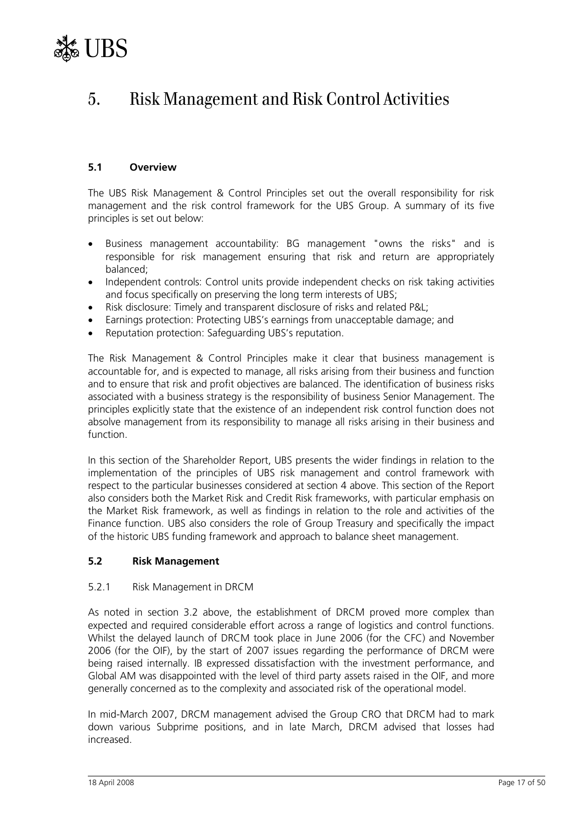

## 5. Risk Management and Risk Control Activities

#### **5.1 Overview**

The UBS Risk Management & Control Principles set out the overall responsibility for risk management and the risk control framework for the UBS Group. A summary of its five principles is set out below:

- Business management accountability: BG management "owns the risks" and is responsible for risk management ensuring that risk and return are appropriately balanced;
- Independent controls: Control units provide independent checks on risk taking activities and focus specifically on preserving the long term interests of UBS;
- Risk disclosure: Timely and transparent disclosure of risks and related P&L;
- Earnings protection: Protecting UBS's earnings from unacceptable damage; and
- Reputation protection: Safeguarding UBS's reputation.

The Risk Management & Control Principles make it clear that business management is accountable for, and is expected to manage, all risks arising from their business and function and to ensure that risk and profit objectives are balanced. The identification of business risks associated with a business strategy is the responsibility of business Senior Management. The principles explicitly state that the existence of an independent risk control function does not absolve management from its responsibility to manage all risks arising in their business and function.

In this section of the Shareholder Report, UBS presents the wider findings in relation to the implementation of the principles of UBS risk management and control framework with respect to the particular businesses considered at section 4 above. This section of the Report also considers both the Market Risk and Credit Risk frameworks, with particular emphasis on the Market Risk framework, as well as findings in relation to the role and activities of the Finance function. UBS also considers the role of Group Treasury and specifically the impact of the historic UBS funding framework and approach to balance sheet management.

#### **5.2 Risk Management**

#### 5.2.1 Risk Management in DRCM

As noted in section 3.2 above, the establishment of DRCM proved more complex than expected and required considerable effort across a range of logistics and control functions. Whilst the delayed launch of DRCM took place in June 2006 (for the CFC) and November 2006 (for the OIF), by the start of 2007 issues regarding the performance of DRCM were being raised internally. IB expressed dissatisfaction with the investment performance, and Global AM was disappointed with the level of third party assets raised in the OIF, and more generally concerned as to the complexity and associated risk of the operational model.

In mid-March 2007, DRCM management advised the Group CRO that DRCM had to mark down various Subprime positions, and in late March, DRCM advised that losses had increased.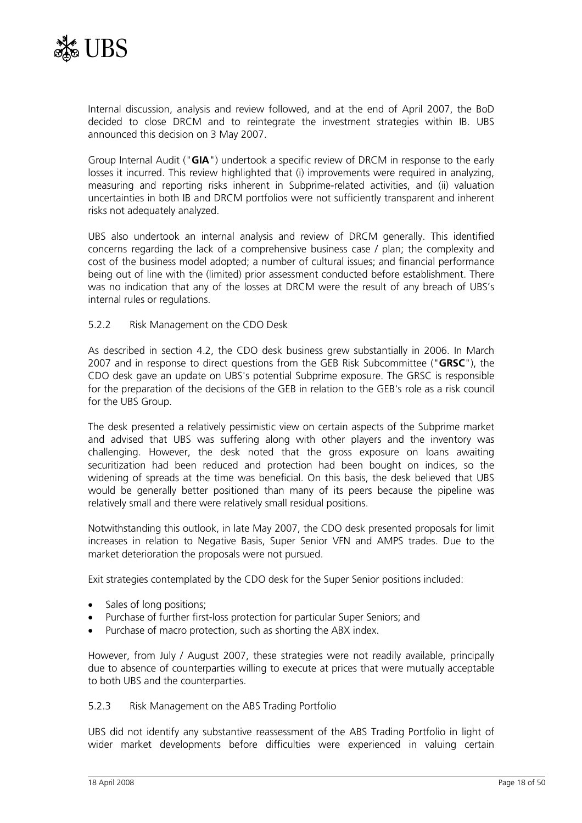

Internal discussion, analysis and review followed, and at the end of April 2007, the BoD decided to close DRCM and to reintegrate the investment strategies within IB. UBS announced this decision on 3 May 2007.

Group Internal Audit ("**GIA**") undertook a specific review of DRCM in response to the early losses it incurred. This review highlighted that (i) improvements were required in analyzing, measuring and reporting risks inherent in Subprime-related activities, and (ii) valuation uncertainties in both IB and DRCM portfolios were not sufficiently transparent and inherent risks not adequately analyzed.

UBS also undertook an internal analysis and review of DRCM generally. This identified concerns regarding the lack of a comprehensive business case / plan; the complexity and cost of the business model adopted; a number of cultural issues; and financial performance being out of line with the (limited) prior assessment conducted before establishment. There was no indication that any of the losses at DRCM were the result of any breach of UBS's internal rules or regulations.

#### 5.2.2 Risk Management on the CDO Desk

As described in section 4.2, the CDO desk business grew substantially in 2006. In March 2007 and in response to direct questions from the GEB Risk Subcommittee ("**GRSC**"), the CDO desk gave an update on UBS's potential Subprime exposure. The GRSC is responsible for the preparation of the decisions of the GEB in relation to the GEB's role as a risk council for the UBS Group.

The desk presented a relatively pessimistic view on certain aspects of the Subprime market and advised that UBS was suffering along with other players and the inventory was challenging. However, the desk noted that the gross exposure on loans awaiting securitization had been reduced and protection had been bought on indices, so the widening of spreads at the time was beneficial. On this basis, the desk believed that UBS would be generally better positioned than many of its peers because the pipeline was relatively small and there were relatively small residual positions.

Notwithstanding this outlook, in late May 2007, the CDO desk presented proposals for limit increases in relation to Negative Basis, Super Senior VFN and AMPS trades. Due to the market deterioration the proposals were not pursued.

Exit strategies contemplated by the CDO desk for the Super Senior positions included:

- Sales of long positions;
- Purchase of further first-loss protection for particular Super Seniors; and
- Purchase of macro protection, such as shorting the ABX index.

However, from July / August 2007, these strategies were not readily available, principally due to absence of counterparties willing to execute at prices that were mutually acceptable to both UBS and the counterparties.

#### 5.2.3 Risk Management on the ABS Trading Portfolio

UBS did not identify any substantive reassessment of the ABS Trading Portfolio in light of wider market developments before difficulties were experienced in valuing certain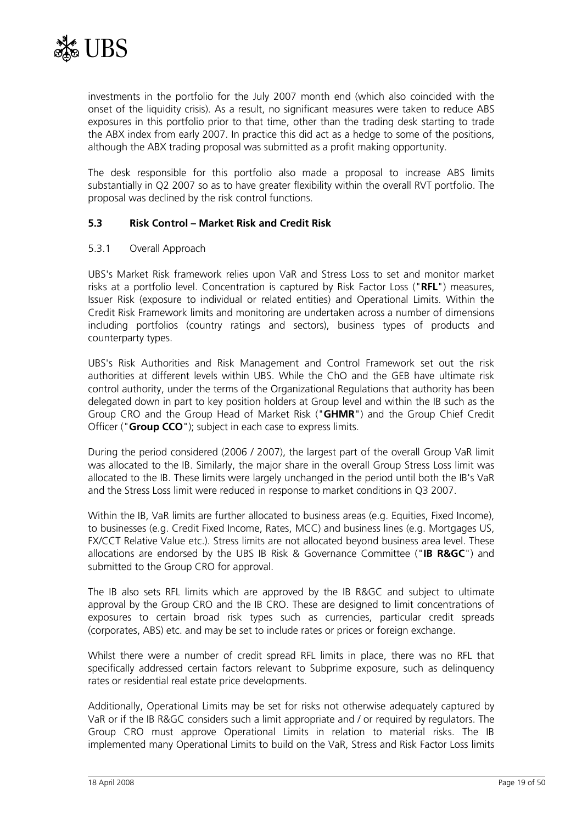

investments in the portfolio for the July 2007 month end (which also coincided with the onset of the liquidity crisis). As a result, no significant measures were taken to reduce ABS exposures in this portfolio prior to that time, other than the trading desk starting to trade the ABX index from early 2007. In practice this did act as a hedge to some of the positions, although the ABX trading proposal was submitted as a profit making opportunity.

The desk responsible for this portfolio also made a proposal to increase ABS limits substantially in Q2 2007 so as to have greater flexibility within the overall RVT portfolio. The proposal was declined by the risk control functions.

#### **5.3 Risk Control – Market Risk and Credit Risk**

#### 5.3.1 Overall Approach

UBS's Market Risk framework relies upon VaR and Stress Loss to set and monitor market risks at a portfolio level. Concentration is captured by Risk Factor Loss ("**RFL**") measures, Issuer Risk (exposure to individual or related entities) and Operational Limits. Within the Credit Risk Framework limits and monitoring are undertaken across a number of dimensions including portfolios (country ratings and sectors), business types of products and counterparty types.

UBS's Risk Authorities and Risk Management and Control Framework set out the risk authorities at different levels within UBS. While the ChO and the GEB have ultimate risk control authority, under the terms of the Organizational Regulations that authority has been delegated down in part to key position holders at Group level and within the IB such as the Group CRO and the Group Head of Market Risk ("**GHMR**") and the Group Chief Credit Officer ("**Group CCO**"); subject in each case to express limits.

During the period considered (2006 / 2007), the largest part of the overall Group VaR limit was allocated to the IB. Similarly, the major share in the overall Group Stress Loss limit was allocated to the IB. These limits were largely unchanged in the period until both the IB's VaR and the Stress Loss limit were reduced in response to market conditions in Q3 2007.

Within the IB, VaR limits are further allocated to business areas (e.g. Equities, Fixed Income), to businesses (e.g. Credit Fixed Income, Rates, MCC) and business lines (e.g. Mortgages US, FX/CCT Relative Value etc.). Stress limits are not allocated beyond business area level. These allocations are endorsed by the UBS IB Risk & Governance Committee ("**IB R&GC**") and submitted to the Group CRO for approval.

The IB also sets RFL limits which are approved by the IB R&GC and subject to ultimate approval by the Group CRO and the IB CRO. These are designed to limit concentrations of exposures to certain broad risk types such as currencies, particular credit spreads (corporates, ABS) etc. and may be set to include rates or prices or foreign exchange.

Whilst there were a number of credit spread RFL limits in place, there was no RFL that specifically addressed certain factors relevant to Subprime exposure, such as delinquency rates or residential real estate price developments.

Additionally, Operational Limits may be set for risks not otherwise adequately captured by VaR or if the IB R&GC considers such a limit appropriate and / or required by regulators. The Group CRO must approve Operational Limits in relation to material risks. The IB implemented many Operational Limits to build on the VaR, Stress and Risk Factor Loss limits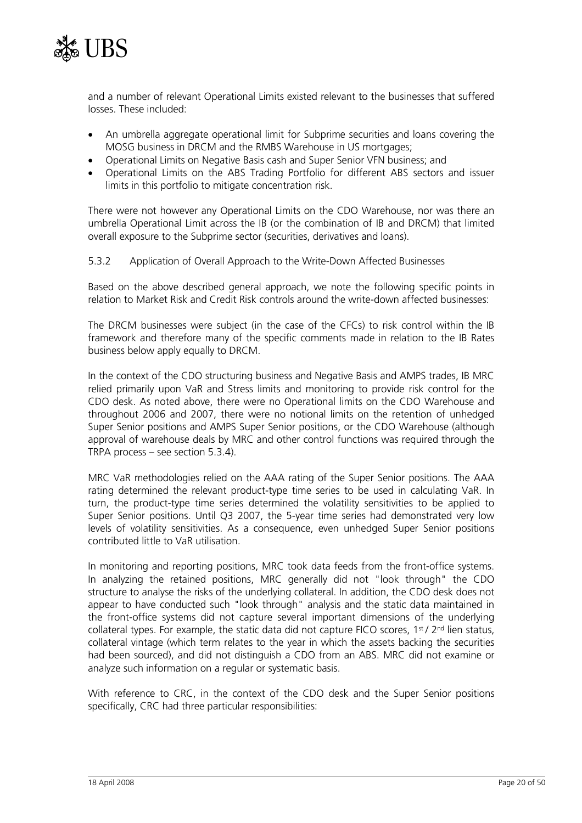

and a number of relevant Operational Limits existed relevant to the businesses that suffered losses. These included:

- An umbrella aggregate operational limit for Subprime securities and loans covering the MOSG business in DRCM and the RMBS Warehouse in US mortgages;
- Operational Limits on Negative Basis cash and Super Senior VFN business; and
- Operational Limits on the ABS Trading Portfolio for different ABS sectors and issuer limits in this portfolio to mitigate concentration risk.

There were not however any Operational Limits on the CDO Warehouse, nor was there an umbrella Operational Limit across the IB (or the combination of IB and DRCM) that limited overall exposure to the Subprime sector (securities, derivatives and loans).

#### 5.3.2 Application of Overall Approach to the Write-Down Affected Businesses

Based on the above described general approach, we note the following specific points in relation to Market Risk and Credit Risk controls around the write-down affected businesses:

The DRCM businesses were subject (in the case of the CFCs) to risk control within the IB framework and therefore many of the specific comments made in relation to the IB Rates business below apply equally to DRCM.

In the context of the CDO structuring business and Negative Basis and AMPS trades, IB MRC relied primarily upon VaR and Stress limits and monitoring to provide risk control for the CDO desk. As noted above, there were no Operational limits on the CDO Warehouse and throughout 2006 and 2007, there were no notional limits on the retention of unhedged Super Senior positions and AMPS Super Senior positions, or the CDO Warehouse (although approval of warehouse deals by MRC and other control functions was required through the TRPA process – see section 5.3.4).

MRC VaR methodologies relied on the AAA rating of the Super Senior positions. The AAA rating determined the relevant product-type time series to be used in calculating VaR. In turn, the product-type time series determined the volatility sensitivities to be applied to Super Senior positions. Until Q3 2007, the 5-year time series had demonstrated very low levels of volatility sensitivities. As a consequence, even unhedged Super Senior positions contributed little to VaR utilisation.

In monitoring and reporting positions, MRC took data feeds from the front-office systems. In analyzing the retained positions, MRC generally did not "look through" the CDO structure to analyse the risks of the underlying collateral. In addition, the CDO desk does not appear to have conducted such "look through" analysis and the static data maintained in the front-office systems did not capture several important dimensions of the underlying collateral types. For example, the static data did not capture FICO scores,  $1<sup>st</sup>/2<sup>nd</sup>$  lien status, collateral vintage (which term relates to the year in which the assets backing the securities had been sourced), and did not distinguish a CDO from an ABS. MRC did not examine or analyze such information on a regular or systematic basis.

With reference to CRC, in the context of the CDO desk and the Super Senior positions specifically, CRC had three particular responsibilities: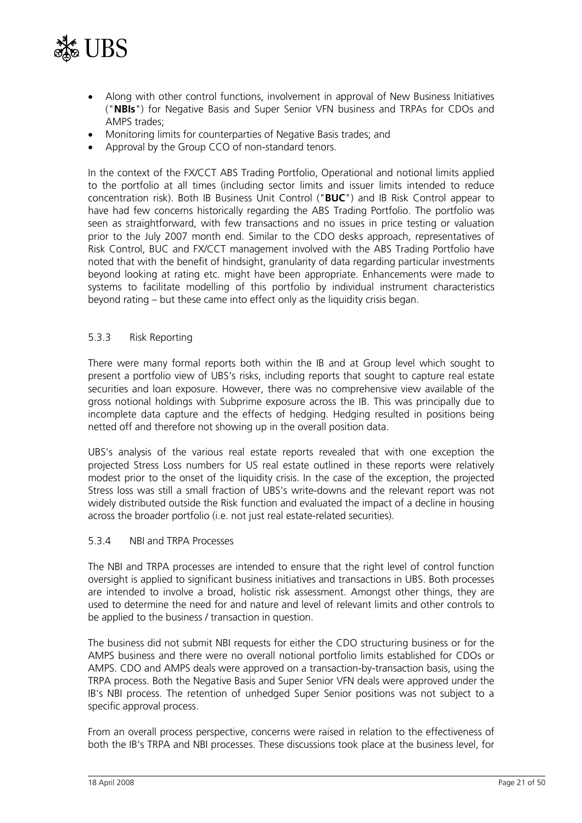

- Along with other control functions, involvement in approval of New Business Initiatives ("**NBIs**") for Negative Basis and Super Senior VFN business and TRPAs for CDOs and AMPS trades;
- Monitoring limits for counterparties of Negative Basis trades; and
- Approval by the Group CCO of non-standard tenors.

In the context of the FX/CCT ABS Trading Portfolio, Operational and notional limits applied to the portfolio at all times (including sector limits and issuer limits intended to reduce concentration risk). Both IB Business Unit Control ("**BUC**") and IB Risk Control appear to have had few concerns historically regarding the ABS Trading Portfolio. The portfolio was seen as straightforward, with few transactions and no issues in price testing or valuation prior to the July 2007 month end. Similar to the CDO desks approach, representatives of Risk Control, BUC and FX/CCT management involved with the ABS Trading Portfolio have noted that with the benefit of hindsight, granularity of data regarding particular investments beyond looking at rating etc. might have been appropriate. Enhancements were made to systems to facilitate modelling of this portfolio by individual instrument characteristics beyond rating – but these came into effect only as the liquidity crisis began.

#### 5.3.3 Risk Reporting

There were many formal reports both within the IB and at Group level which sought to present a portfolio view of UBS's risks, including reports that sought to capture real estate securities and loan exposure. However, there was no comprehensive view available of the gross notional holdings with Subprime exposure across the IB. This was principally due to incomplete data capture and the effects of hedging. Hedging resulted in positions being netted off and therefore not showing up in the overall position data.

UBS's analysis of the various real estate reports revealed that with one exception the projected Stress Loss numbers for US real estate outlined in these reports were relatively modest prior to the onset of the liquidity crisis. In the case of the exception, the projected Stress loss was still a small fraction of UBS's write-downs and the relevant report was not widely distributed outside the Risk function and evaluated the impact of a decline in housing across the broader portfolio (i.e. not just real estate-related securities).

#### 5.3.4 NBI and TRPA Processes

The NBI and TRPA processes are intended to ensure that the right level of control function oversight is applied to significant business initiatives and transactions in UBS. Both processes are intended to involve a broad, holistic risk assessment. Amongst other things, they are used to determine the need for and nature and level of relevant limits and other controls to be applied to the business / transaction in question.

The business did not submit NBI requests for either the CDO structuring business or for the AMPS business and there were no overall notional portfolio limits established for CDOs or AMPS. CDO and AMPS deals were approved on a transaction-by-transaction basis, using the TRPA process. Both the Negative Basis and Super Senior VFN deals were approved under the IB's NBI process. The retention of unhedged Super Senior positions was not subject to a specific approval process.

From an overall process perspective, concerns were raised in relation to the effectiveness of both the IB's TRPA and NBI processes. These discussions took place at the business level, for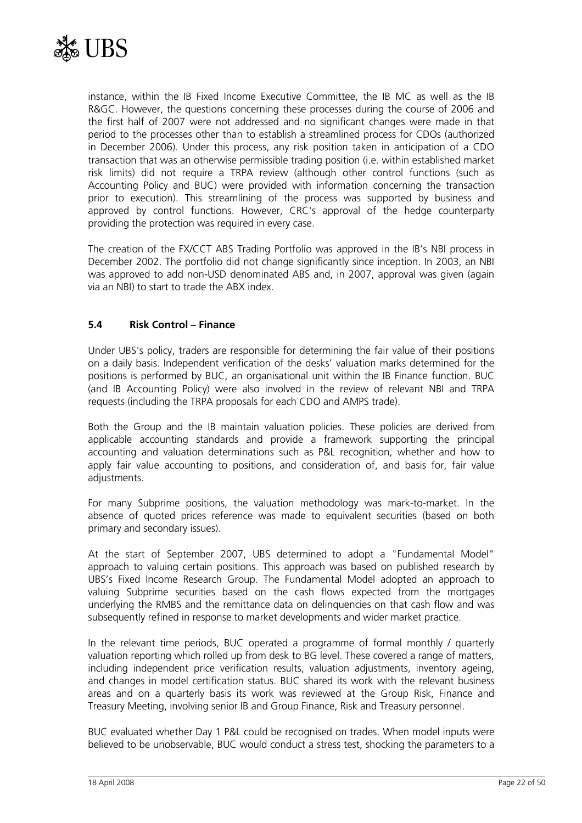

instance, within the IB Fixed Income Executive Committee, the IB MC as well as the IB R&GC. However, the questions concerning these processes during the course of 2006 and the first half of 2007 were not addressed and no significant changes were made in that period to the processes other than to establish a streamlined process for CDOs (authorized in December 2006). Under this process, any risk position taken in anticipation of a CDO transaction that was an otherwise permissible trading position (i.e. within established market risk limits) did not require a TRPA review (although other control functions (such as Accounting Policy and BUC) were provided with information concerning the transaction prior to execution). This streamlining of the process was supported by business and approved by control functions. However, CRC's approval of the hedge counterparty providing the protection was required in every case.

The creation of the FX/CCT ABS Trading Portfolio was approved in the IB's NBI process in December 2002. The portfolio did not change significantly since inception. In 2003, an NBI was approved to add non-USD denominated ABS and, in 2007, approval was given (again via an NBI) to start to trade the ABX index.

#### **5.4 Risk Control – Finance**

Under UBS's policy, traders are responsible for determining the fair value of their positions on a daily basis. Independent verification of the desks' valuation marks determined for the positions is performed by BUC, an organisational unit within the IB Finance function. BUC (and IB Accounting Policy) were also involved in the review of relevant NBI and TRPA requests (including the TRPA proposals for each CDO and AMPS trade).

Both the Group and the IB maintain valuation policies. These policies are derived from applicable accounting standards and provide a framework supporting the principal accounting and valuation determinations such as P&L recognition, whether and how to apply fair value accounting to positions, and consideration of, and basis for, fair value adiustments.

For many Subprime positions, the valuation methodology was mark-to-market. In the absence of quoted prices reference was made to equivalent securities (based on both primary and secondary issues).

At the start of September 2007, UBS determined to adopt a "Fundamental Model" approach to valuing certain positions. This approach was based on published research by UBS's Fixed Income Research Group. The Fundamental Model adopted an approach to valuing Subprime securities based on the cash flows expected from the mortgages underlying the RMBS and the remittance data on delinquencies on that cash flow and was subsequently refined in response to market developments and wider market practice.

In the relevant time periods, BUC operated a programme of formal monthly / quarterly valuation reporting which rolled up from desk to BG level. These covered a range of matters, including independent price verification results, valuation adjustments, inventory ageing, and changes in model certification status. BUC shared its work with the relevant business areas and on a quarterly basis its work was reviewed at the Group Risk, Finance and Treasury Meeting, involving senior IB and Group Finance, Risk and Treasury personnel.

BUC evaluated whether Day 1 P&L could be recognised on trades. When model inputs were believed to be unobservable, BUC would conduct a stress test, shocking the parameters to a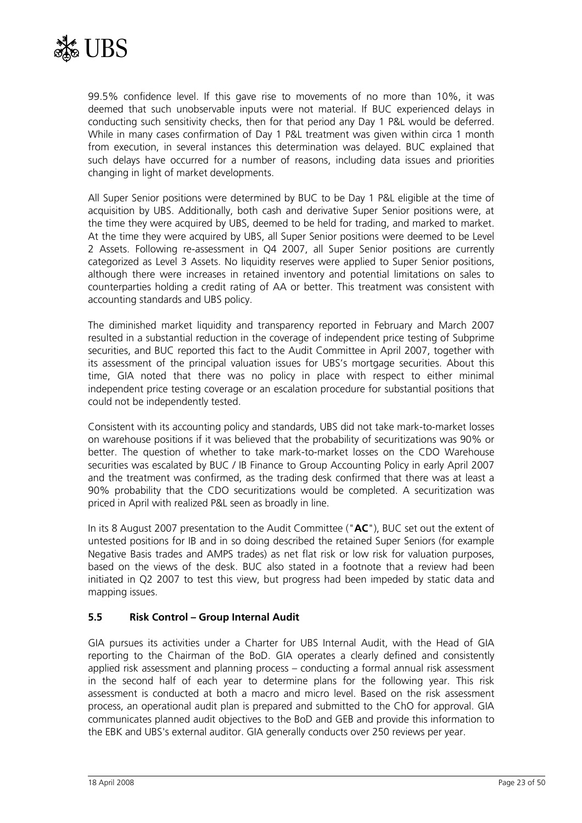

99.5% confidence level. If this gave rise to movements of no more than 10%, it was deemed that such unobservable inputs were not material. If BUC experienced delays in conducting such sensitivity checks, then for that period any Day 1 P&L would be deferred. While in many cases confirmation of Day 1 P&L treatment was given within circa 1 month from execution, in several instances this determination was delayed. BUC explained that such delays have occurred for a number of reasons, including data issues and priorities changing in light of market developments.

All Super Senior positions were determined by BUC to be Day 1 P&L eligible at the time of acquisition by UBS. Additionally, both cash and derivative Super Senior positions were, at the time they were acquired by UBS, deemed to be held for trading, and marked to market. At the time they were acquired by UBS, all Super Senior positions were deemed to be Level 2 Assets. Following re-assessment in Q4 2007, all Super Senior positions are currently categorized as Level 3 Assets. No liquidity reserves were applied to Super Senior positions, although there were increases in retained inventory and potential limitations on sales to counterparties holding a credit rating of AA or better. This treatment was consistent with accounting standards and UBS policy.

The diminished market liquidity and transparency reported in February and March 2007 resulted in a substantial reduction in the coverage of independent price testing of Subprime securities, and BUC reported this fact to the Audit Committee in April 2007, together with its assessment of the principal valuation issues for UBS's mortgage securities. About this time, GIA noted that there was no policy in place with respect to either minimal independent price testing coverage or an escalation procedure for substantial positions that could not be independently tested.

Consistent with its accounting policy and standards, UBS did not take mark-to-market losses on warehouse positions if it was believed that the probability of securitizations was 90% or better. The question of whether to take mark-to-market losses on the CDO Warehouse securities was escalated by BUC / IB Finance to Group Accounting Policy in early April 2007 and the treatment was confirmed, as the trading desk confirmed that there was at least a 90% probability that the CDO securitizations would be completed. A securitization was priced in April with realized P&L seen as broadly in line.

In its 8 August 2007 presentation to the Audit Committee ("**AC**"), BUC set out the extent of untested positions for IB and in so doing described the retained Super Seniors (for example Negative Basis trades and AMPS trades) as net flat risk or low risk for valuation purposes, based on the views of the desk. BUC also stated in a footnote that a review had been initiated in Q2 2007 to test this view, but progress had been impeded by static data and mapping issues.

#### **5.5 Risk Control – Group Internal Audit**

GIA pursues its activities under a Charter for UBS Internal Audit, with the Head of GIA reporting to the Chairman of the BoD. GIA operates a clearly defined and consistently applied risk assessment and planning process – conducting a formal annual risk assessment in the second half of each year to determine plans for the following year. This risk assessment is conducted at both a macro and micro level. Based on the risk assessment process, an operational audit plan is prepared and submitted to the ChO for approval. GIA communicates planned audit objectives to the BoD and GEB and provide this information to the EBK and UBS's external auditor. GIA generally conducts over 250 reviews per year.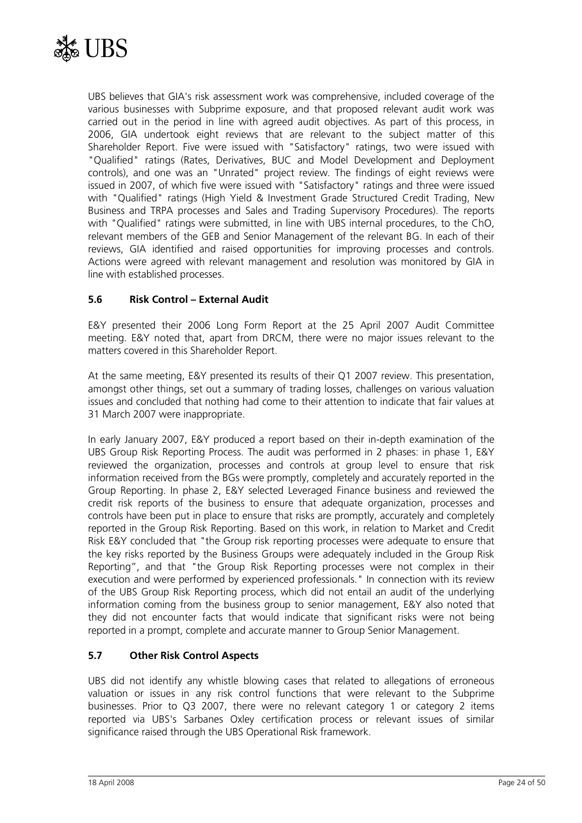

UBS believes that GIA's risk assessment work was comprehensive, included coverage of the various businesses with Subprime exposure, and that proposed relevant audit work was carried out in the period in line with agreed audit objectives. As part of this process, in 2006, GIA undertook eight reviews that are relevant to the subject matter of this Shareholder Report. Five were issued with "Satisfactory" ratings, two were issued with "Qualified" ratings (Rates, Derivatives, BUC and Model Development and Deployment controls), and one was an "Unrated" project review. The findings of eight reviews were issued in 2007, of which five were issued with "Satisfactory" ratings and three were issued with "Qualified" ratings (High Yield & Investment Grade Structured Credit Trading, New Business and TRPA processes and Sales and Trading Supervisory Procedures). The reports with "Qualified" ratings were submitted, in line with UBS internal procedures, to the ChO, relevant members of the GEB and Senior Management of the relevant BG. In each of their reviews, GIA identified and raised opportunities for improving processes and controls. Actions were agreed with relevant management and resolution was monitored by GIA in line with established processes.

#### **5.6 Risk Control – External Audit**

E&Y presented their 2006 Long Form Report at the 25 April 2007 Audit Committee meeting. E&Y noted that, apart from DRCM, there were no major issues relevant to the matters covered in this Shareholder Report.

At the same meeting, E&Y presented its results of their Q1 2007 review. This presentation, amongst other things, set out a summary of trading losses, challenges on various valuation issues and concluded that nothing had come to their attention to indicate that fair values at 31 March 2007 were inappropriate.

In early January 2007, E&Y produced a report based on their in-depth examination of the UBS Group Risk Reporting Process. The audit was performed in 2 phases: in phase 1, E&Y reviewed the organization, processes and controls at group level to ensure that risk information received from the BGs were promptly, completely and accurately reported in the Group Reporting. In phase 2, E&Y selected Leveraged Finance business and reviewed the credit risk reports of the business to ensure that adequate organization, processes and controls have been put in place to ensure that risks are promptly, accurately and completely reported in the Group Risk Reporting. Based on this work, in relation to Market and Credit Risk E&Y concluded that "the Group risk reporting processes were adequate to ensure that the key risks reported by the Business Groups were adequately included in the Group Risk Reporting", and that "the Group Risk Reporting processes were not complex in their execution and were performed by experienced professionals." In connection with its review of the UBS Group Risk Reporting process, which did not entail an audit of the underlying information coming from the business group to senior management, E&Y also noted that they did not encounter facts that would indicate that significant risks were not being reported in a prompt, complete and accurate manner to Group Senior Management.

#### **5.7 Other Risk Control Aspects**

UBS did not identify any whistle blowing cases that related to allegations of erroneous valuation or issues in any risk control functions that were relevant to the Subprime businesses. Prior to Q3 2007, there were no relevant category 1 or category 2 items reported via UBS's Sarbanes Oxley certification process or relevant issues of similar significance raised through the UBS Operational Risk framework.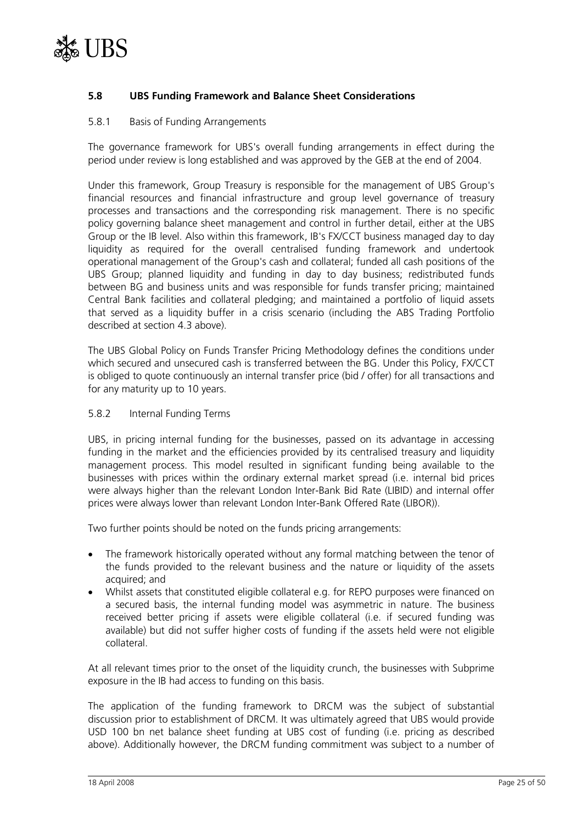

#### **5.8 UBS Funding Framework and Balance Sheet Considerations**

#### 5.8.1 Basis of Funding Arrangements

The governance framework for UBS's overall funding arrangements in effect during the period under review is long established and was approved by the GEB at the end of 2004.

Under this framework, Group Treasury is responsible for the management of UBS Group's financial resources and financial infrastructure and group level governance of treasury processes and transactions and the corresponding risk management. There is no specific policy governing balance sheet management and control in further detail, either at the UBS Group or the IB level. Also within this framework, IB's FX/CCT business managed day to day liquidity as required for the overall centralised funding framework and undertook operational management of the Group's cash and collateral; funded all cash positions of the UBS Group; planned liquidity and funding in day to day business; redistributed funds between BG and business units and was responsible for funds transfer pricing; maintained Central Bank facilities and collateral pledging; and maintained a portfolio of liquid assets that served as a liquidity buffer in a crisis scenario (including the ABS Trading Portfolio described at section 4.3 above).

The UBS Global Policy on Funds Transfer Pricing Methodology defines the conditions under which secured and unsecured cash is transferred between the BG. Under this Policy, FX/CCT is obliged to quote continuously an internal transfer price (bid / offer) for all transactions and for any maturity up to 10 years.

#### 5.8.2 Internal Funding Terms

UBS, in pricing internal funding for the businesses, passed on its advantage in accessing funding in the market and the efficiencies provided by its centralised treasury and liquidity management process. This model resulted in significant funding being available to the businesses with prices within the ordinary external market spread (i.e. internal bid prices were always higher than the relevant London Inter-Bank Bid Rate (LIBID) and internal offer prices were always lower than relevant London Inter-Bank Offered Rate (LIBOR)).

Two further points should be noted on the funds pricing arrangements:

- The framework historically operated without any formal matching between the tenor of the funds provided to the relevant business and the nature or liquidity of the assets acquired; and
- Whilst assets that constituted eligible collateral e.g. for REPO purposes were financed on a secured basis, the internal funding model was asymmetric in nature. The business received better pricing if assets were eligible collateral (i.e. if secured funding was available) but did not suffer higher costs of funding if the assets held were not eligible collateral.

At all relevant times prior to the onset of the liquidity crunch, the businesses with Subprime exposure in the IB had access to funding on this basis.

The application of the funding framework to DRCM was the subject of substantial discussion prior to establishment of DRCM. It was ultimately agreed that UBS would provide USD 100 bn net balance sheet funding at UBS cost of funding (i.e. pricing as described above). Additionally however, the DRCM funding commitment was subject to a number of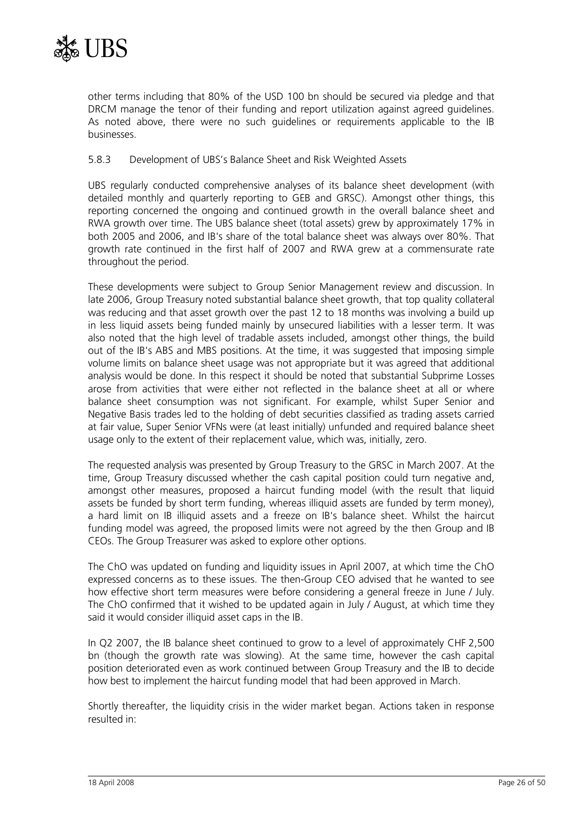

other terms including that 80% of the USD 100 bn should be secured via pledge and that DRCM manage the tenor of their funding and report utilization against agreed guidelines. As noted above, there were no such guidelines or requirements applicable to the IB businesses.

#### 5.8.3 Development of UBS's Balance Sheet and Risk Weighted Assets

UBS regularly conducted comprehensive analyses of its balance sheet development (with detailed monthly and quarterly reporting to GEB and GRSC). Amongst other things, this reporting concerned the ongoing and continued growth in the overall balance sheet and RWA growth over time. The UBS balance sheet (total assets) grew by approximately 17% in both 2005 and 2006, and IB's share of the total balance sheet was always over 80%. That growth rate continued in the first half of 2007 and RWA grew at a commensurate rate throughout the period.

These developments were subject to Group Senior Management review and discussion. In late 2006, Group Treasury noted substantial balance sheet growth, that top quality collateral was reducing and that asset growth over the past 12 to 18 months was involving a build up in less liquid assets being funded mainly by unsecured liabilities with a lesser term. It was also noted that the high level of tradable assets included, amongst other things, the build out of the IB's ABS and MBS positions. At the time, it was suggested that imposing simple volume limits on balance sheet usage was not appropriate but it was agreed that additional analysis would be done. In this respect it should be noted that substantial Subprime Losses arose from activities that were either not reflected in the balance sheet at all or where balance sheet consumption was not significant. For example, whilst Super Senior and Negative Basis trades led to the holding of debt securities classified as trading assets carried at fair value, Super Senior VFNs were (at least initially) unfunded and required balance sheet usage only to the extent of their replacement value, which was, initially, zero.

The requested analysis was presented by Group Treasury to the GRSC in March 2007. At the time, Group Treasury discussed whether the cash capital position could turn negative and, amongst other measures, proposed a haircut funding model (with the result that liquid assets be funded by short term funding, whereas illiquid assets are funded by term money), a hard limit on IB illiquid assets and a freeze on IB's balance sheet. Whilst the haircut funding model was agreed, the proposed limits were not agreed by the then Group and IB CEOs. The Group Treasurer was asked to explore other options.

The ChO was updated on funding and liquidity issues in April 2007, at which time the ChO expressed concerns as to these issues. The then-Group CEO advised that he wanted to see how effective short term measures were before considering a general freeze in June / July. The ChO confirmed that it wished to be updated again in July / August, at which time they said it would consider illiquid asset caps in the IB.

In Q2 2007, the IB balance sheet continued to grow to a level of approximately CHF 2,500 bn (though the growth rate was slowing). At the same time, however the cash capital position deteriorated even as work continued between Group Treasury and the IB to decide how best to implement the haircut funding model that had been approved in March.

Shortly thereafter, the liquidity crisis in the wider market began. Actions taken in response resulted in: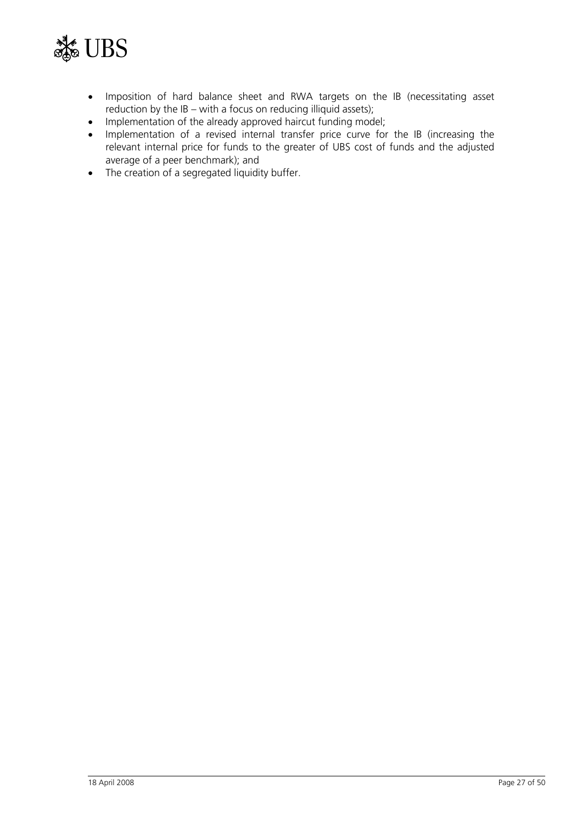

- Imposition of hard balance sheet and RWA targets on the IB (necessitating asset reduction by the IB – with a focus on reducing illiquid assets);
- Implementation of the already approved haircut funding model;
- Implementation of a revised internal transfer price curve for the IB (increasing the relevant internal price for funds to the greater of UBS cost of funds and the adjusted average of a peer benchmark); and
- The creation of a segregated liquidity buffer.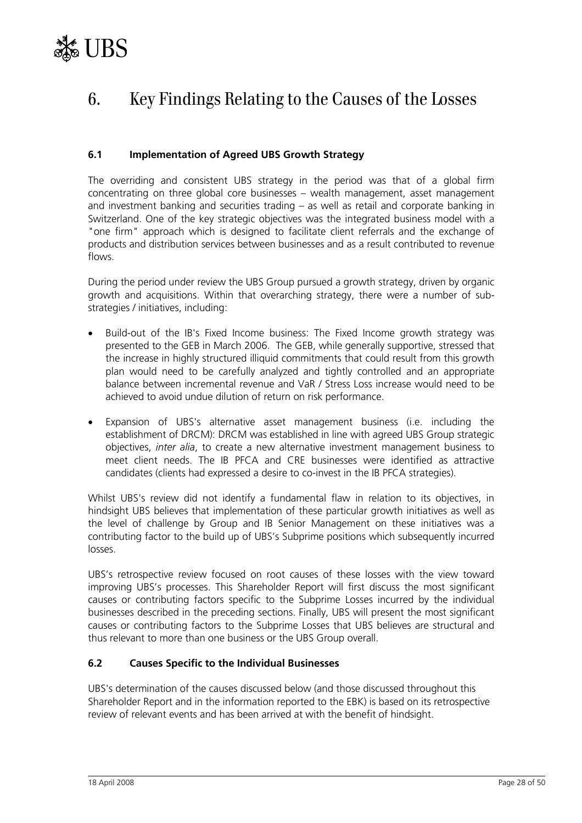

# 6. Key Findings Relating to the Causes of the Losses

#### **6.1 Implementation of Agreed UBS Growth Strategy**

The overriding and consistent UBS strategy in the period was that of a global firm concentrating on three global core businesses – wealth management, asset management and investment banking and securities trading – as well as retail and corporate banking in Switzerland. One of the key strategic objectives was the integrated business model with a "one firm" approach which is designed to facilitate client referrals and the exchange of products and distribution services between businesses and as a result contributed to revenue flows.

During the period under review the UBS Group pursued a growth strategy, driven by organic growth and acquisitions. Within that overarching strategy, there were a number of substrategies / initiatives, including:

- Build-out of the IB's Fixed Income business: The Fixed Income growth strategy was presented to the GEB in March 2006. The GEB, while generally supportive, stressed that the increase in highly structured illiquid commitments that could result from this growth plan would need to be carefully analyzed and tightly controlled and an appropriate balance between incremental revenue and VaR / Stress Loss increase would need to be achieved to avoid undue dilution of return on risk performance.
- Expansion of UBS's alternative asset management business (i.e. including the establishment of DRCM): DRCM was established in line with agreed UBS Group strategic objectives, *inter alia*, to create a new alternative investment management business to meet client needs. The IB PFCA and CRE businesses were identified as attractive candidates (clients had expressed a desire to co-invest in the IB PFCA strategies).

Whilst UBS's review did not identify a fundamental flaw in relation to its objectives, in hindsight UBS believes that implementation of these particular growth initiatives as well as the level of challenge by Group and IB Senior Management on these initiatives was a contributing factor to the build up of UBS's Subprime positions which subsequently incurred losses.

UBS's retrospective review focused on root causes of these losses with the view toward improving UBS's processes. This Shareholder Report will first discuss the most significant causes or contributing factors specific to the Subprime Losses incurred by the individual businesses described in the preceding sections. Finally, UBS will present the most significant causes or contributing factors to the Subprime Losses that UBS believes are structural and thus relevant to more than one business or the UBS Group overall.

#### **6.2 Causes Specific to the Individual Businesses**

UBS's determination of the causes discussed below (and those discussed throughout this Shareholder Report and in the information reported to the EBK) is based on its retrospective review of relevant events and has been arrived at with the benefit of hindsight.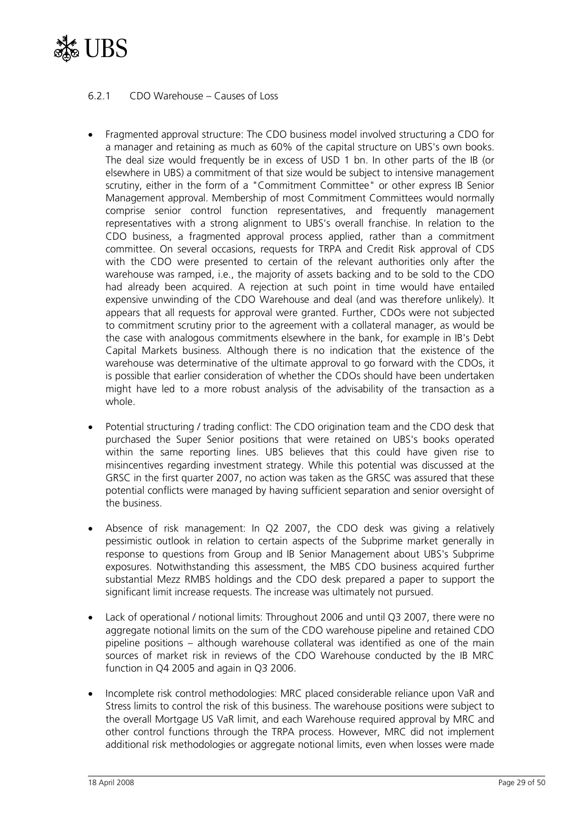

#### 6.2.1 CDO Warehouse – Causes of Loss

- Fragmented approval structure: The CDO business model involved structuring a CDO for a manager and retaining as much as 60% of the capital structure on UBS's own books. The deal size would frequently be in excess of USD 1 bn. In other parts of the IB (or elsewhere in UBS) a commitment of that size would be subject to intensive management scrutiny, either in the form of a "Commitment Committee" or other express IB Senior Management approval. Membership of most Commitment Committees would normally comprise senior control function representatives, and frequently management representatives with a strong alignment to UBS's overall franchise. In relation to the CDO business, a fragmented approval process applied, rather than a commitment committee. On several occasions, requests for TRPA and Credit Risk approval of CDS with the CDO were presented to certain of the relevant authorities only after the warehouse was ramped, i.e., the majority of assets backing and to be sold to the CDO had already been acquired. A rejection at such point in time would have entailed expensive unwinding of the CDO Warehouse and deal (and was therefore unlikely). It appears that all requests for approval were granted. Further, CDOs were not subjected to commitment scrutiny prior to the agreement with a collateral manager, as would be the case with analogous commitments elsewhere in the bank, for example in IB's Debt Capital Markets business. Although there is no indication that the existence of the warehouse was determinative of the ultimate approval to go forward with the CDOs, it is possible that earlier consideration of whether the CDOs should have been undertaken might have led to a more robust analysis of the advisability of the transaction as a whole.
- Potential structuring / trading conflict: The CDO origination team and the CDO desk that purchased the Super Senior positions that were retained on UBS's books operated within the same reporting lines. UBS believes that this could have given rise to misincentives regarding investment strategy. While this potential was discussed at the GRSC in the first quarter 2007, no action was taken as the GRSC was assured that these potential conflicts were managed by having sufficient separation and senior oversight of the business.
- Absence of risk management: In Q2 2007, the CDO desk was giving a relatively pessimistic outlook in relation to certain aspects of the Subprime market generally in response to questions from Group and IB Senior Management about UBS's Subprime exposures. Notwithstanding this assessment, the MBS CDO business acquired further substantial Mezz RMBS holdings and the CDO desk prepared a paper to support the significant limit increase requests. The increase was ultimately not pursued.
- Lack of operational / notional limits: Throughout 2006 and until Q3 2007, there were no aggregate notional limits on the sum of the CDO warehouse pipeline and retained CDO pipeline positions – although warehouse collateral was identified as one of the main sources of market risk in reviews of the CDO Warehouse conducted by the IB MRC function in Q4 2005 and again in Q3 2006.
- Incomplete risk control methodologies: MRC placed considerable reliance upon VaR and Stress limits to control the risk of this business. The warehouse positions were subject to the overall Mortgage US VaR limit, and each Warehouse required approval by MRC and other control functions through the TRPA process. However, MRC did not implement additional risk methodologies or aggregate notional limits, even when losses were made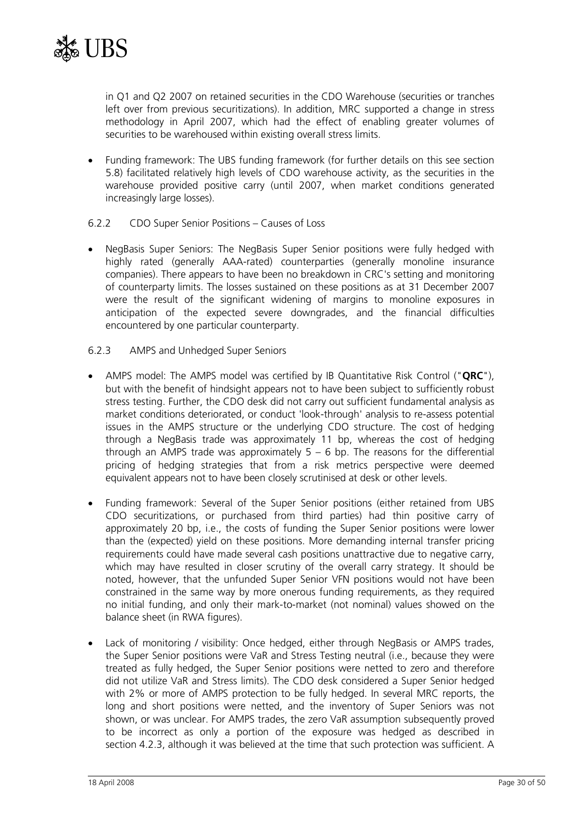

in Q1 and Q2 2007 on retained securities in the CDO Warehouse (securities or tranches left over from previous securitizations). In addition, MRC supported a change in stress methodology in April 2007, which had the effect of enabling greater volumes of securities to be warehoused within existing overall stress limits.

• Funding framework: The UBS funding framework (for further details on this see section 5.8) facilitated relatively high levels of CDO warehouse activity, as the securities in the warehouse provided positive carry (until 2007, when market conditions generated increasingly large losses).

#### 6.2.2 CDO Super Senior Positions – Causes of Loss

- NegBasis Super Seniors: The NegBasis Super Senior positions were fully hedged with highly rated (generally AAA-rated) counterparties (generally monoline insurance companies). There appears to have been no breakdown in CRC's setting and monitoring of counterparty limits. The losses sustained on these positions as at 31 December 2007 were the result of the significant widening of margins to monoline exposures in anticipation of the expected severe downgrades, and the financial difficulties encountered by one particular counterparty.
- 6.2.3 AMPS and Unhedged Super Seniors
- AMPS model: The AMPS model was certified by IB Quantitative Risk Control ("**QRC**"), but with the benefit of hindsight appears not to have been subject to sufficiently robust stress testing. Further, the CDO desk did not carry out sufficient fundamental analysis as market conditions deteriorated, or conduct 'look-through' analysis to re-assess potential issues in the AMPS structure or the underlying CDO structure. The cost of hedging through a NegBasis trade was approximately 11 bp, whereas the cost of hedging through an AMPS trade was approximately  $5 - 6$  bp. The reasons for the differential pricing of hedging strategies that from a risk metrics perspective were deemed equivalent appears not to have been closely scrutinised at desk or other levels.
- Funding framework: Several of the Super Senior positions (either retained from UBS CDO securitizations, or purchased from third parties) had thin positive carry of approximately 20 bp, i.e., the costs of funding the Super Senior positions were lower than the (expected) yield on these positions. More demanding internal transfer pricing requirements could have made several cash positions unattractive due to negative carry, which may have resulted in closer scrutiny of the overall carry strategy. It should be noted, however, that the unfunded Super Senior VFN positions would not have been constrained in the same way by more onerous funding requirements, as they required no initial funding, and only their mark-to-market (not nominal) values showed on the balance sheet (in RWA figures).
- Lack of monitoring / visibility: Once hedged, either through NegBasis or AMPS trades, the Super Senior positions were VaR and Stress Testing neutral (i.e., because they were treated as fully hedged, the Super Senior positions were netted to zero and therefore did not utilize VaR and Stress limits). The CDO desk considered a Super Senior hedged with 2% or more of AMPS protection to be fully hedged. In several MRC reports, the long and short positions were netted, and the inventory of Super Seniors was not shown, or was unclear. For AMPS trades, the zero VaR assumption subsequently proved to be incorrect as only a portion of the exposure was hedged as described in section 4.2.3, although it was believed at the time that such protection was sufficient. A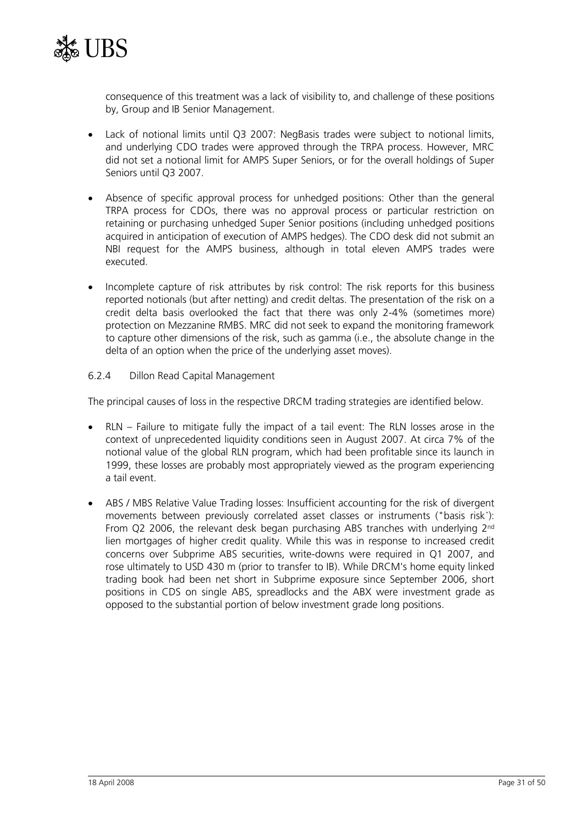

consequence of this treatment was a lack of visibility to, and challenge of these positions by, Group and IB Senior Management.

- Lack of notional limits until O3 2007: NegBasis trades were subject to notional limits, and underlying CDO trades were approved through the TRPA process. However, MRC did not set a notional limit for AMPS Super Seniors, or for the overall holdings of Super Seniors until Q3 2007.
- Absence of specific approval process for unhedged positions: Other than the general TRPA process for CDOs, there was no approval process or particular restriction on retaining or purchasing unhedged Super Senior positions (including unhedged positions acquired in anticipation of execution of AMPS hedges). The CDO desk did not submit an NBI request for the AMPS business, although in total eleven AMPS trades were executed.
- Incomplete capture of risk attributes by risk control: The risk reports for this business reported notionals (but after netting) and credit deltas. The presentation of the risk on a credit delta basis overlooked the fact that there was only 2-4% (sometimes more) protection on Mezzanine RMBS. MRC did not seek to expand the monitoring framework to capture other dimensions of the risk, such as gamma (i.e., the absolute change in the delta of an option when the price of the underlying asset moves).

#### 6.2.4 Dillon Read Capital Management

The principal causes of loss in the respective DRCM trading strategies are identified below.

- RLN Failure to mitigate fully the impact of a tail event: The RLN losses arose in the context of unprecedented liquidity conditions seen in August 2007. At circa 7% of the notional value of the global RLN program, which had been profitable since its launch in 1999, these losses are probably most appropriately viewed as the program experiencing a tail event.
- ABS / MBS Relative Value Trading losses: Insufficient accounting for the risk of divergent movements between previously correlated asset classes or instruments ("basis risk"): From Q2 2006, the relevant desk began purchasing ABS tranches with underlying 2<sup>nd</sup> lien mortgages of higher credit quality. While this was in response to increased credit concerns over Subprime ABS securities, write-downs were required in Q1 2007, and rose ultimately to USD 430 m (prior to transfer to IB). While DRCM's home equity linked trading book had been net short in Subprime exposure since September 2006, short positions in CDS on single ABS, spreadlocks and the ABX were investment grade as opposed to the substantial portion of below investment grade long positions.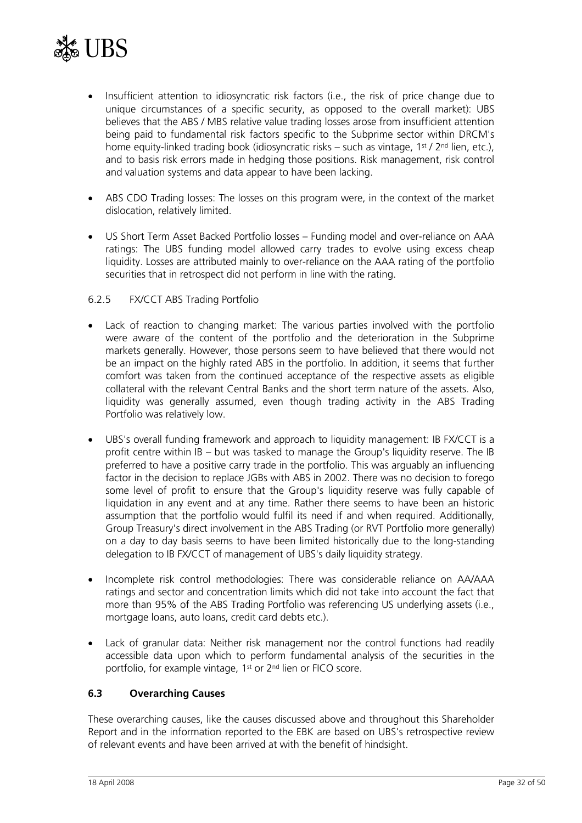

- Insufficient attention to idiosyncratic risk factors (i.e., the risk of price change due to unique circumstances of a specific security, as opposed to the overall market): UBS believes that the ABS / MBS relative value trading losses arose from insufficient attention being paid to fundamental risk factors specific to the Subprime sector within DRCM's home equity-linked trading book (idiosyncratic risks – such as vintage, 1<sup>st</sup> / 2<sup>nd</sup> lien, etc.), and to basis risk errors made in hedging those positions. Risk management, risk control and valuation systems and data appear to have been lacking.
- ABS CDO Trading losses: The losses on this program were, in the context of the market dislocation, relatively limited.
- US Short Term Asset Backed Portfolio losses Funding model and over-reliance on AAA ratings: The UBS funding model allowed carry trades to evolve using excess cheap liquidity. Losses are attributed mainly to over-reliance on the AAA rating of the portfolio securities that in retrospect did not perform in line with the rating.

#### 6.2.5 FX/CCT ABS Trading Portfolio

- Lack of reaction to changing market: The various parties involved with the portfolio were aware of the content of the portfolio and the deterioration in the Subprime markets generally. However, those persons seem to have believed that there would not be an impact on the highly rated ABS in the portfolio. In addition, it seems that further comfort was taken from the continued acceptance of the respective assets as eligible collateral with the relevant Central Banks and the short term nature of the assets. Also, liquidity was generally assumed, even though trading activity in the ABS Trading Portfolio was relatively low.
- UBS's overall funding framework and approach to liquidity management: IB FX/CCT is a profit centre within IB – but was tasked to manage the Group's liquidity reserve. The IB preferred to have a positive carry trade in the portfolio. This was arguably an influencing factor in the decision to replace JGBs with ABS in 2002. There was no decision to forego some level of profit to ensure that the Group's liquidity reserve was fully capable of liquidation in any event and at any time. Rather there seems to have been an historic assumption that the portfolio would fulfil its need if and when required. Additionally, Group Treasury's direct involvement in the ABS Trading (or RVT Portfolio more generally) on a day to day basis seems to have been limited historically due to the long-standing delegation to IB FX/CCT of management of UBS's daily liquidity strategy.
- Incomplete risk control methodologies: There was considerable reliance on AA/AAA ratings and sector and concentration limits which did not take into account the fact that more than 95% of the ABS Trading Portfolio was referencing US underlying assets (i.e., mortgage loans, auto loans, credit card debts etc.).
- Lack of granular data: Neither risk management nor the control functions had readily accessible data upon which to perform fundamental analysis of the securities in the portfolio, for example vintage, 1st or 2nd lien or FICO score.

#### **6.3 Overarching Causes**

These overarching causes, like the causes discussed above and throughout this Shareholder Report and in the information reported to the EBK are based on UBS's retrospective review of relevant events and have been arrived at with the benefit of hindsight.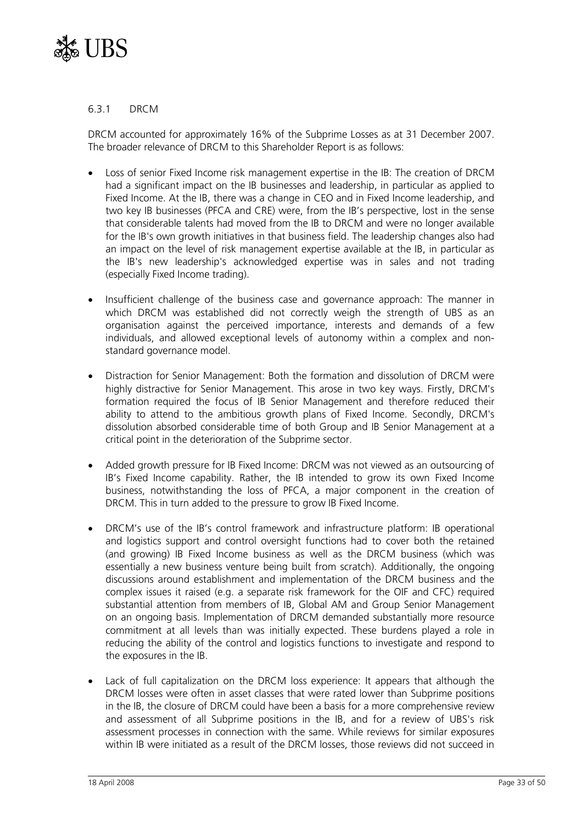

#### 6.3.1 DRCM

DRCM accounted for approximately 16% of the Subprime Losses as at 31 December 2007. The broader relevance of DRCM to this Shareholder Report is as follows:

- Loss of senior Fixed Income risk management expertise in the IB: The creation of DRCM had a significant impact on the IB businesses and leadership, in particular as applied to Fixed Income. At the IB, there was a change in CEO and in Fixed Income leadership, and two key IB businesses (PFCA and CRE) were, from the IB's perspective, lost in the sense that considerable talents had moved from the IB to DRCM and were no longer available for the IB's own growth initiatives in that business field. The leadership changes also had an impact on the level of risk management expertise available at the IB, in particular as the IB's new leadership's acknowledged expertise was in sales and not trading (especially Fixed Income trading).
- Insufficient challenge of the business case and governance approach: The manner in which DRCM was established did not correctly weigh the strength of UBS as an organisation against the perceived importance, interests and demands of a few individuals, and allowed exceptional levels of autonomy within a complex and nonstandard governance model.
- Distraction for Senior Management: Both the formation and dissolution of DRCM were highly distractive for Senior Management. This arose in two key ways. Firstly, DRCM's formation required the focus of IB Senior Management and therefore reduced their ability to attend to the ambitious growth plans of Fixed Income. Secondly, DRCM's dissolution absorbed considerable time of both Group and IB Senior Management at a critical point in the deterioration of the Subprime sector.
- Added growth pressure for IB Fixed Income: DRCM was not viewed as an outsourcing of IB's Fixed Income capability. Rather, the IB intended to grow its own Fixed Income business, notwithstanding the loss of PFCA, a major component in the creation of DRCM. This in turn added to the pressure to grow IB Fixed Income.
- DRCM's use of the IB's control framework and infrastructure platform: IB operational and logistics support and control oversight functions had to cover both the retained (and growing) IB Fixed Income business as well as the DRCM business (which was essentially a new business venture being built from scratch). Additionally, the ongoing discussions around establishment and implementation of the DRCM business and the complex issues it raised (e.g. a separate risk framework for the OIF and CFC) required substantial attention from members of IB, Global AM and Group Senior Management on an ongoing basis. Implementation of DRCM demanded substantially more resource commitment at all levels than was initially expected. These burdens played a role in reducing the ability of the control and logistics functions to investigate and respond to the exposures in the IB.
- Lack of full capitalization on the DRCM loss experience: It appears that although the DRCM losses were often in asset classes that were rated lower than Subprime positions in the IB, the closure of DRCM could have been a basis for a more comprehensive review and assessment of all Subprime positions in the IB, and for a review of UBS's risk assessment processes in connection with the same. While reviews for similar exposures within IB were initiated as a result of the DRCM losses, those reviews did not succeed in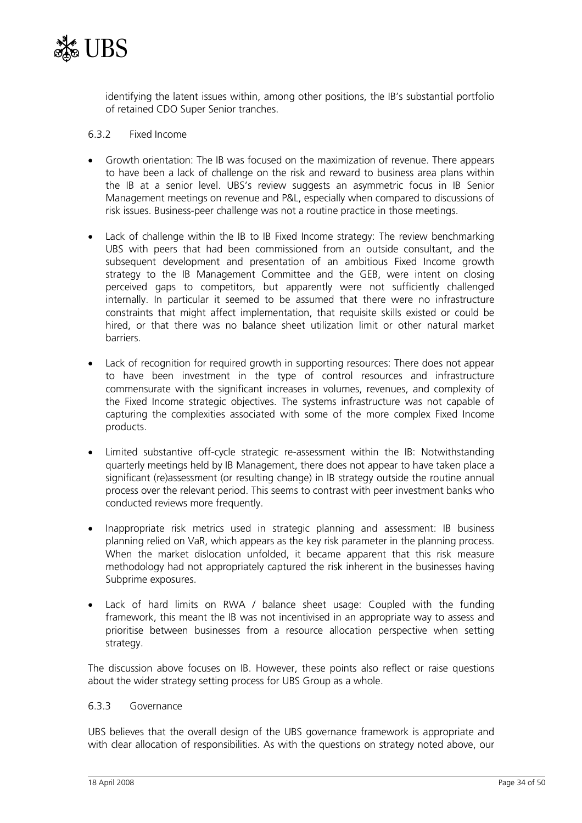

identifying the latent issues within, among other positions, the IB's substantial portfolio of retained CDO Super Senior tranches.

#### 6.3.2 Fixed Income

- Growth orientation: The IB was focused on the maximization of revenue. There appears to have been a lack of challenge on the risk and reward to business area plans within the IB at a senior level. UBS's review suggests an asymmetric focus in IB Senior Management meetings on revenue and P&L, especially when compared to discussions of risk issues. Business-peer challenge was not a routine practice in those meetings.
- Lack of challenge within the IB to IB Fixed Income strategy: The review benchmarking UBS with peers that had been commissioned from an outside consultant, and the subsequent development and presentation of an ambitious Fixed Income growth strategy to the IB Management Committee and the GEB, were intent on closing perceived gaps to competitors, but apparently were not sufficiently challenged internally. In particular it seemed to be assumed that there were no infrastructure constraints that might affect implementation, that requisite skills existed or could be hired, or that there was no balance sheet utilization limit or other natural market barriers.
- Lack of recognition for required growth in supporting resources: There does not appear to have been investment in the type of control resources and infrastructure commensurate with the significant increases in volumes, revenues, and complexity of the Fixed Income strategic objectives. The systems infrastructure was not capable of capturing the complexities associated with some of the more complex Fixed Income products.
- Limited substantive off-cycle strategic re-assessment within the IB: Notwithstanding quarterly meetings held by IB Management, there does not appear to have taken place a significant (re)assessment (or resulting change) in IB strategy outside the routine annual process over the relevant period. This seems to contrast with peer investment banks who conducted reviews more frequently.
- Inappropriate risk metrics used in strategic planning and assessment: IB business planning relied on VaR, which appears as the key risk parameter in the planning process. When the market dislocation unfolded, it became apparent that this risk measure methodology had not appropriately captured the risk inherent in the businesses having Subprime exposures.
- Lack of hard limits on RWA / balance sheet usage: Coupled with the funding framework, this meant the IB was not incentivised in an appropriate way to assess and prioritise between businesses from a resource allocation perspective when setting strategy.

The discussion above focuses on IB. However, these points also reflect or raise questions about the wider strategy setting process for UBS Group as a whole.

#### 6.3.3 Governance

UBS believes that the overall design of the UBS governance framework is appropriate and with clear allocation of responsibilities. As with the questions on strategy noted above, our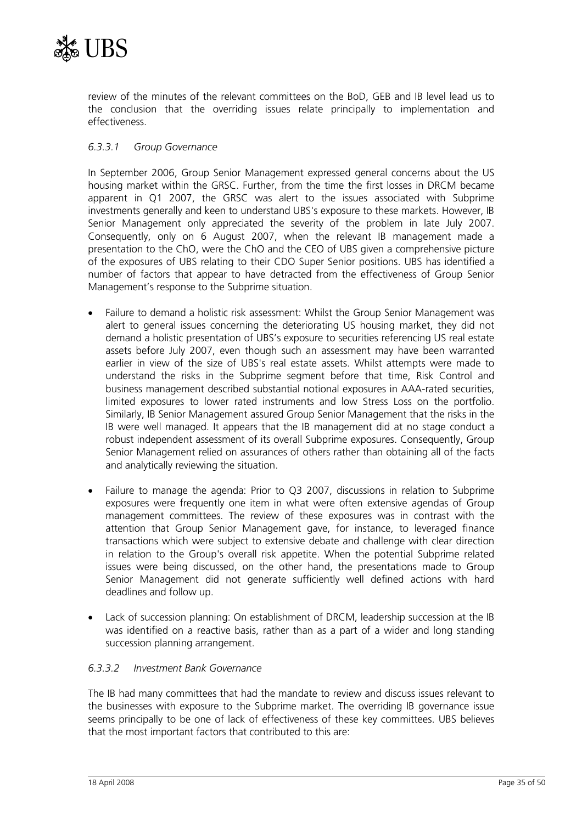

review of the minutes of the relevant committees on the BoD, GEB and IB level lead us to the conclusion that the overriding issues relate principally to implementation and effectiveness.

#### *6.3.3.1 Group Governance*

In September 2006, Group Senior Management expressed general concerns about the US housing market within the GRSC. Further, from the time the first losses in DRCM became apparent in Q1 2007, the GRSC was alert to the issues associated with Subprime investments generally and keen to understand UBS's exposure to these markets. However, IB Senior Management only appreciated the severity of the problem in late July 2007. Consequently, only on 6 August 2007, when the relevant IB management made a presentation to the ChO, were the ChO and the CEO of UBS given a comprehensive picture of the exposures of UBS relating to their CDO Super Senior positions. UBS has identified a number of factors that appear to have detracted from the effectiveness of Group Senior Management's response to the Subprime situation.

- Failure to demand a holistic risk assessment: Whilst the Group Senior Management was alert to general issues concerning the deteriorating US housing market, they did not demand a holistic presentation of UBS's exposure to securities referencing US real estate assets before July 2007, even though such an assessment may have been warranted earlier in view of the size of UBS's real estate assets. Whilst attempts were made to understand the risks in the Subprime segment before that time, Risk Control and business management described substantial notional exposures in AAA-rated securities, limited exposures to lower rated instruments and low Stress Loss on the portfolio. Similarly, IB Senior Management assured Group Senior Management that the risks in the IB were well managed. It appears that the IB management did at no stage conduct a robust independent assessment of its overall Subprime exposures. Consequently, Group Senior Management relied on assurances of others rather than obtaining all of the facts and analytically reviewing the situation.
- Failure to manage the agenda: Prior to Q3 2007, discussions in relation to Subprime exposures were frequently one item in what were often extensive agendas of Group management committees. The review of these exposures was in contrast with the attention that Group Senior Management gave, for instance, to leveraged finance transactions which were subject to extensive debate and challenge with clear direction in relation to the Group's overall risk appetite. When the potential Subprime related issues were being discussed, on the other hand, the presentations made to Group Senior Management did not generate sufficiently well defined actions with hard deadlines and follow up.
- Lack of succession planning: On establishment of DRCM, leadership succession at the IB was identified on a reactive basis, rather than as a part of a wider and long standing succession planning arrangement.

#### *6.3.3.2 Investment Bank Governance*

The IB had many committees that had the mandate to review and discuss issues relevant to the businesses with exposure to the Subprime market. The overriding IB governance issue seems principally to be one of lack of effectiveness of these key committees. UBS believes that the most important factors that contributed to this are: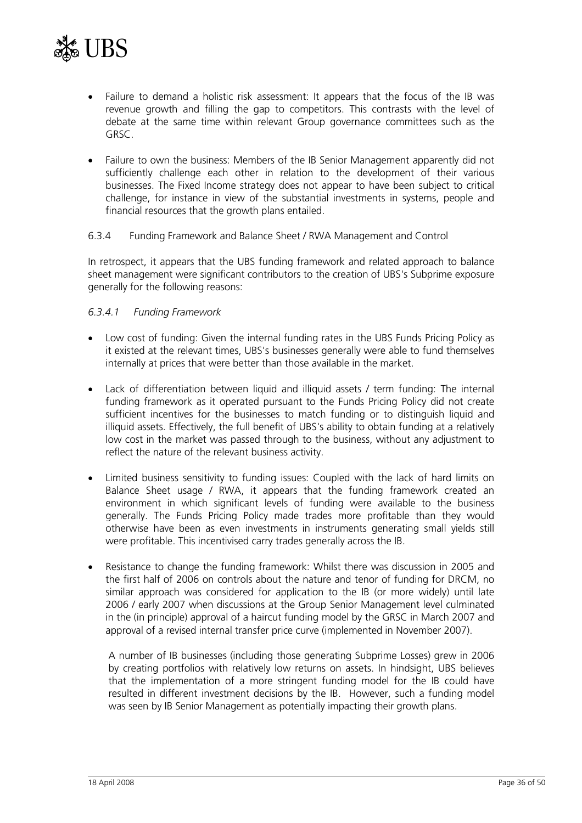

- Failure to demand a holistic risk assessment: It appears that the focus of the IB was revenue growth and filling the gap to competitors. This contrasts with the level of debate at the same time within relevant Group governance committees such as the GRSC.
- Failure to own the business: Members of the IB Senior Management apparently did not sufficiently challenge each other in relation to the development of their various businesses. The Fixed Income strategy does not appear to have been subject to critical challenge, for instance in view of the substantial investments in systems, people and financial resources that the growth plans entailed.

#### 6.3.4 Funding Framework and Balance Sheet / RWA Management and Control

In retrospect, it appears that the UBS funding framework and related approach to balance sheet management were significant contributors to the creation of UBS's Subprime exposure generally for the following reasons:

#### *6.3.4.1 Funding Framework*

- Low cost of funding: Given the internal funding rates in the UBS Funds Pricing Policy as it existed at the relevant times, UBS's businesses generally were able to fund themselves internally at prices that were better than those available in the market.
- Lack of differentiation between liquid and illiquid assets / term funding: The internal funding framework as it operated pursuant to the Funds Pricing Policy did not create sufficient incentives for the businesses to match funding or to distinguish liquid and illiquid assets. Effectively, the full benefit of UBS's ability to obtain funding at a relatively low cost in the market was passed through to the business, without any adjustment to reflect the nature of the relevant business activity.
- Limited business sensitivity to funding issues: Coupled with the lack of hard limits on Balance Sheet usage / RWA, it appears that the funding framework created an environment in which significant levels of funding were available to the business generally. The Funds Pricing Policy made trades more profitable than they would otherwise have been as even investments in instruments generating small yields still were profitable. This incentivised carry trades generally across the IB.
- Resistance to change the funding framework: Whilst there was discussion in 2005 and the first half of 2006 on controls about the nature and tenor of funding for DRCM, no similar approach was considered for application to the IB (or more widely) until late 2006 / early 2007 when discussions at the Group Senior Management level culminated in the (in principle) approval of a haircut funding model by the GRSC in March 2007 and approval of a revised internal transfer price curve (implemented in November 2007).

A number of IB businesses (including those generating Subprime Losses) grew in 2006 by creating portfolios with relatively low returns on assets. In hindsight, UBS believes that the implementation of a more stringent funding model for the IB could have resulted in different investment decisions by the IB. However, such a funding model was seen by IB Senior Management as potentially impacting their growth plans.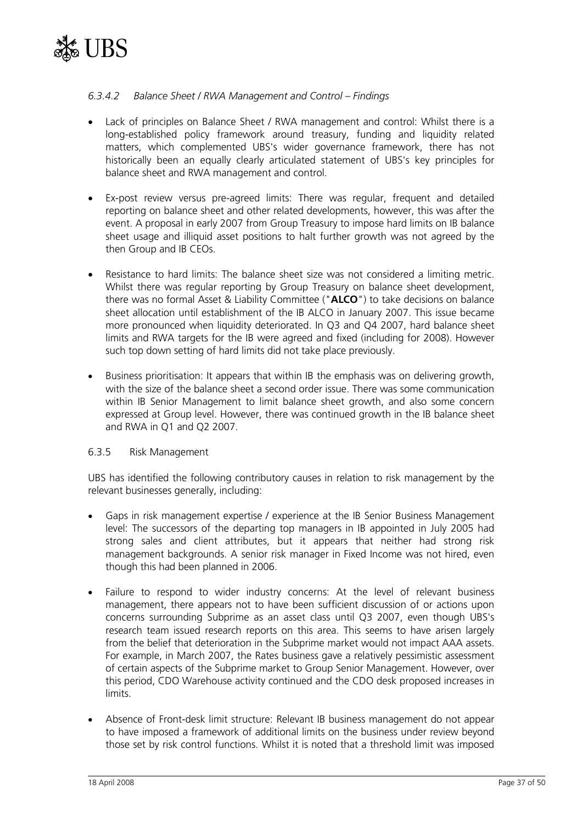

#### *6.3.4.2 Balance Sheet / RWA Management and Control – Findings*

- Lack of principles on Balance Sheet / RWA management and control: Whilst there is a long-established policy framework around treasury, funding and liquidity related matters, which complemented UBS's wider governance framework, there has not historically been an equally clearly articulated statement of UBS's key principles for balance sheet and RWA management and control.
- Ex-post review versus pre-agreed limits: There was regular, frequent and detailed reporting on balance sheet and other related developments, however, this was after the event. A proposal in early 2007 from Group Treasury to impose hard limits on IB balance sheet usage and illiquid asset positions to halt further growth was not agreed by the then Group and IB CEOs.
- Resistance to hard limits: The balance sheet size was not considered a limiting metric. Whilst there was regular reporting by Group Treasury on balance sheet development, there was no formal Asset & Liability Committee ("**ALCO**") to take decisions on balance sheet allocation until establishment of the IB ALCO in January 2007. This issue became more pronounced when liquidity deteriorated. In Q3 and Q4 2007, hard balance sheet limits and RWA targets for the IB were agreed and fixed (including for 2008). However such top down setting of hard limits did not take place previously.
- Business prioritisation: It appears that within IB the emphasis was on delivering growth, with the size of the balance sheet a second order issue. There was some communication within IB Senior Management to limit balance sheet growth, and also some concern expressed at Group level. However, there was continued growth in the IB balance sheet and RWA in Q1 and Q2 2007.

#### 6.3.5 Risk Management

UBS has identified the following contributory causes in relation to risk management by the relevant businesses generally, including:

- Gaps in risk management expertise / experience at the IB Senior Business Management level: The successors of the departing top managers in IB appointed in July 2005 had strong sales and client attributes, but it appears that neither had strong risk management backgrounds. A senior risk manager in Fixed Income was not hired, even though this had been planned in 2006.
- Failure to respond to wider industry concerns: At the level of relevant business management, there appears not to have been sufficient discussion of or actions upon concerns surrounding Subprime as an asset class until Q3 2007, even though UBS's research team issued research reports on this area. This seems to have arisen largely from the belief that deterioration in the Subprime market would not impact AAA assets. For example, in March 2007, the Rates business gave a relatively pessimistic assessment of certain aspects of the Subprime market to Group Senior Management. However, over this period, CDO Warehouse activity continued and the CDO desk proposed increases in limits.
- Absence of Front-desk limit structure: Relevant IB business management do not appear to have imposed a framework of additional limits on the business under review beyond those set by risk control functions. Whilst it is noted that a threshold limit was imposed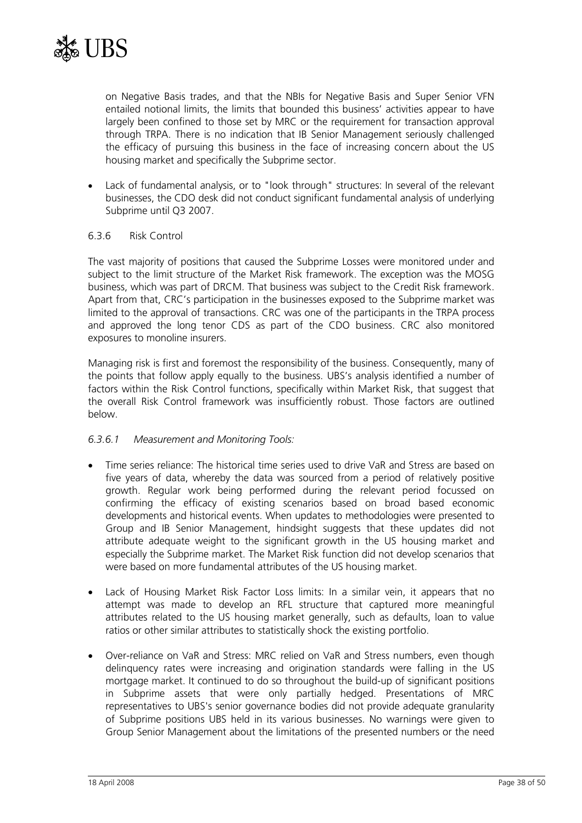

on Negative Basis trades, and that the NBIs for Negative Basis and Super Senior VFN entailed notional limits, the limits that bounded this business' activities appear to have largely been confined to those set by MRC or the requirement for transaction approval through TRPA. There is no indication that IB Senior Management seriously challenged the efficacy of pursuing this business in the face of increasing concern about the US housing market and specifically the Subprime sector.

• Lack of fundamental analysis, or to "look through" structures: In several of the relevant businesses, the CDO desk did not conduct significant fundamental analysis of underlying Subprime until Q3 2007.

#### 6.3.6 Risk Control

The vast majority of positions that caused the Subprime Losses were monitored under and subject to the limit structure of the Market Risk framework. The exception was the MOSG business, which was part of DRCM. That business was subject to the Credit Risk framework. Apart from that, CRC's participation in the businesses exposed to the Subprime market was limited to the approval of transactions. CRC was one of the participants in the TRPA process and approved the long tenor CDS as part of the CDO business. CRC also monitored exposures to monoline insurers.

Managing risk is first and foremost the responsibility of the business. Consequently, many of the points that follow apply equally to the business. UBS's analysis identified a number of factors within the Risk Control functions, specifically within Market Risk, that suggest that the overall Risk Control framework was insufficiently robust. Those factors are outlined below.

#### *6.3.6.1 Measurement and Monitoring Tools:*

- Time series reliance: The historical time series used to drive VaR and Stress are based on five years of data, whereby the data was sourced from a period of relatively positive growth. Regular work being performed during the relevant period focussed on confirming the efficacy of existing scenarios based on broad based economic developments and historical events. When updates to methodologies were presented to Group and IB Senior Management, hindsight suggests that these updates did not attribute adequate weight to the significant growth in the US housing market and especially the Subprime market. The Market Risk function did not develop scenarios that were based on more fundamental attributes of the US housing market.
- Lack of Housing Market Risk Factor Loss limits: In a similar vein, it appears that no attempt was made to develop an RFL structure that captured more meaningful attributes related to the US housing market generally, such as defaults, loan to value ratios or other similar attributes to statistically shock the existing portfolio.
- Over-reliance on VaR and Stress: MRC relied on VaR and Stress numbers, even though delinquency rates were increasing and origination standards were falling in the US mortgage market. It continued to do so throughout the build-up of significant positions in Subprime assets that were only partially hedged. Presentations of MRC representatives to UBS's senior governance bodies did not provide adequate granularity of Subprime positions UBS held in its various businesses. No warnings were given to Group Senior Management about the limitations of the presented numbers or the need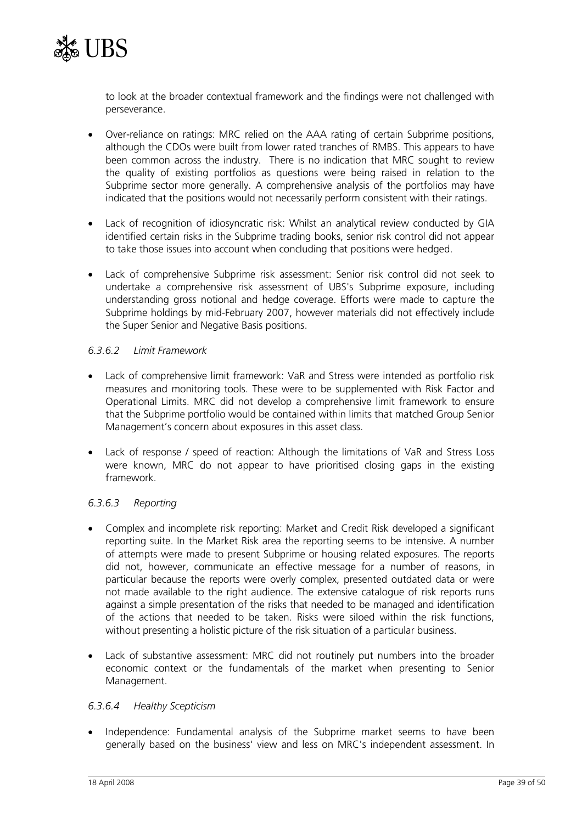

to look at the broader contextual framework and the findings were not challenged with perseverance.

- Over-reliance on ratings: MRC relied on the AAA rating of certain Subprime positions, although the CDOs were built from lower rated tranches of RMBS. This appears to have been common across the industry. There is no indication that MRC sought to review the quality of existing portfolios as questions were being raised in relation to the Subprime sector more generally. A comprehensive analysis of the portfolios may have indicated that the positions would not necessarily perform consistent with their ratings.
- Lack of recognition of idiosyncratic risk: Whilst an analytical review conducted by GIA identified certain risks in the Subprime trading books, senior risk control did not appear to take those issues into account when concluding that positions were hedged.
- Lack of comprehensive Subprime risk assessment: Senior risk control did not seek to undertake a comprehensive risk assessment of UBS's Subprime exposure, including understanding gross notional and hedge coverage. Efforts were made to capture the Subprime holdings by mid-February 2007, however materials did not effectively include the Super Senior and Negative Basis positions.

#### *6.3.6.2 Limit Framework*

- Lack of comprehensive limit framework: VaR and Stress were intended as portfolio risk measures and monitoring tools. These were to be supplemented with Risk Factor and Operational Limits. MRC did not develop a comprehensive limit framework to ensure that the Subprime portfolio would be contained within limits that matched Group Senior Management's concern about exposures in this asset class.
- Lack of response / speed of reaction: Although the limitations of VaR and Stress Loss were known, MRC do not appear to have prioritised closing gaps in the existing framework.

#### *6.3.6.3 Reporting*

- Complex and incomplete risk reporting: Market and Credit Risk developed a significant reporting suite. In the Market Risk area the reporting seems to be intensive. A number of attempts were made to present Subprime or housing related exposures. The reports did not, however, communicate an effective message for a number of reasons, in particular because the reports were overly complex, presented outdated data or were not made available to the right audience. The extensive catalogue of risk reports runs against a simple presentation of the risks that needed to be managed and identification of the actions that needed to be taken. Risks were siloed within the risk functions, without presenting a holistic picture of the risk situation of a particular business.
- Lack of substantive assessment: MRC did not routinely put numbers into the broader economic context or the fundamentals of the market when presenting to Senior Management.

#### *6.3.6.4 Healthy Scepticism*

• Independence: Fundamental analysis of the Subprime market seems to have been generally based on the business' view and less on MRC's independent assessment. In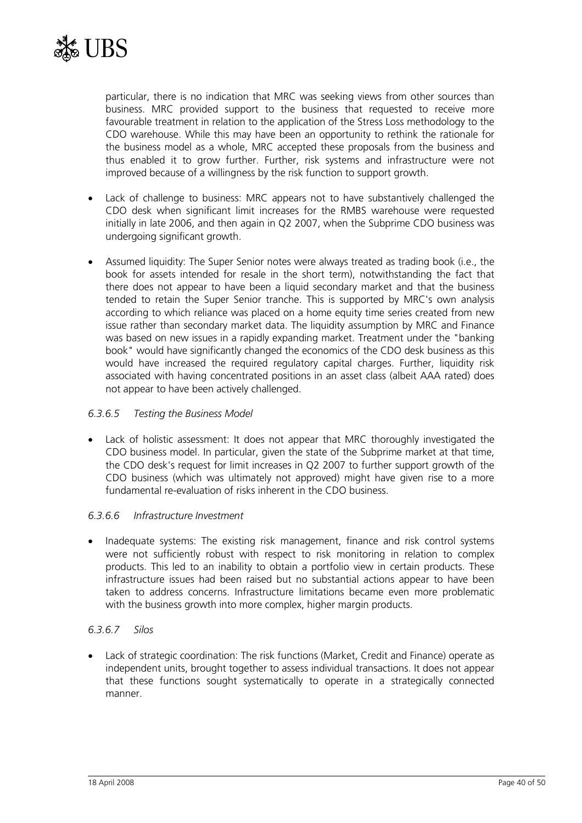

particular, there is no indication that MRC was seeking views from other sources than business. MRC provided support to the business that requested to receive more favourable treatment in relation to the application of the Stress Loss methodology to the CDO warehouse. While this may have been an opportunity to rethink the rationale for the business model as a whole, MRC accepted these proposals from the business and thus enabled it to grow further. Further, risk systems and infrastructure were not improved because of a willingness by the risk function to support growth.

- Lack of challenge to business: MRC appears not to have substantively challenged the CDO desk when significant limit increases for the RMBS warehouse were requested initially in late 2006, and then again in Q2 2007, when the Subprime CDO business was undergoing significant growth.
- Assumed liquidity: The Super Senior notes were always treated as trading book (i.e., the book for assets intended for resale in the short term), notwithstanding the fact that there does not appear to have been a liquid secondary market and that the business tended to retain the Super Senior tranche. This is supported by MRC's own analysis according to which reliance was placed on a home equity time series created from new issue rather than secondary market data. The liquidity assumption by MRC and Finance was based on new issues in a rapidly expanding market. Treatment under the "banking book" would have significantly changed the economics of the CDO desk business as this would have increased the required regulatory capital charges. Further, liquidity risk associated with having concentrated positions in an asset class (albeit AAA rated) does not appear to have been actively challenged.

#### *6.3.6.5 Testing the Business Model*

• Lack of holistic assessment: It does not appear that MRC thoroughly investigated the CDO business model. In particular, given the state of the Subprime market at that time, the CDO desk's request for limit increases in Q2 2007 to further support growth of the CDO business (which was ultimately not approved) might have given rise to a more fundamental re-evaluation of risks inherent in the CDO business.

#### *6.3.6.6 Infrastructure Investment*

• Inadequate systems: The existing risk management, finance and risk control systems were not sufficiently robust with respect to risk monitoring in relation to complex products. This led to an inability to obtain a portfolio view in certain products. These infrastructure issues had been raised but no substantial actions appear to have been taken to address concerns. Infrastructure limitations became even more problematic with the business growth into more complex, higher margin products.

#### *6.3.6.7 Silos*

• Lack of strategic coordination: The risk functions (Market, Credit and Finance) operate as independent units, brought together to assess individual transactions. It does not appear that these functions sought systematically to operate in a strategically connected manner.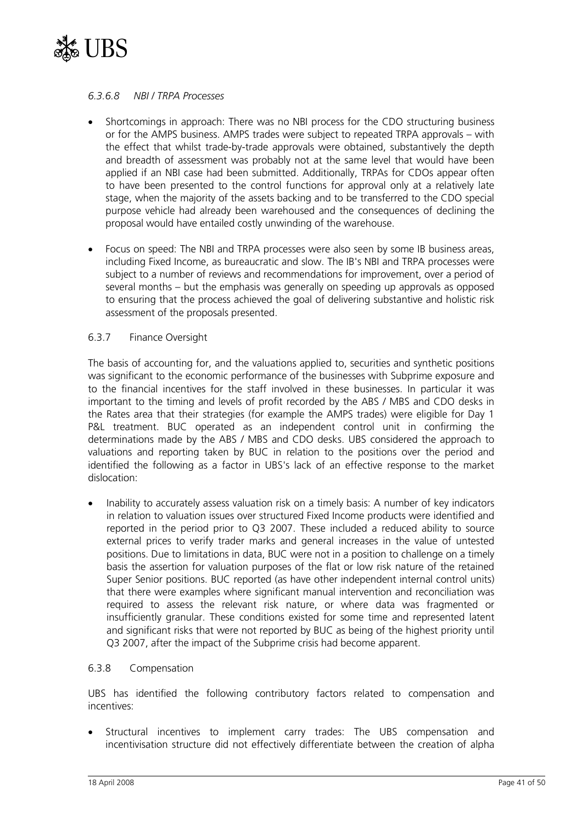

#### *6.3.6.8 NBI / TRPA Processes*

- Shortcomings in approach: There was no NBI process for the CDO structuring business or for the AMPS business. AMPS trades were subject to repeated TRPA approvals – with the effect that whilst trade-by-trade approvals were obtained, substantively the depth and breadth of assessment was probably not at the same level that would have been applied if an NBI case had been submitted. Additionally, TRPAs for CDOs appear often to have been presented to the control functions for approval only at a relatively late stage, when the majority of the assets backing and to be transferred to the CDO special purpose vehicle had already been warehoused and the consequences of declining the proposal would have entailed costly unwinding of the warehouse.
- Focus on speed: The NBI and TRPA processes were also seen by some IB business areas, including Fixed Income, as bureaucratic and slow. The IB's NBI and TRPA processes were subject to a number of reviews and recommendations for improvement, over a period of several months – but the emphasis was generally on speeding up approvals as opposed to ensuring that the process achieved the goal of delivering substantive and holistic risk assessment of the proposals presented.

#### 6.3.7 Finance Oversight

The basis of accounting for, and the valuations applied to, securities and synthetic positions was significant to the economic performance of the businesses with Subprime exposure and to the financial incentives for the staff involved in these businesses. In particular it was important to the timing and levels of profit recorded by the ABS / MBS and CDO desks in the Rates area that their strategies (for example the AMPS trades) were eligible for Day 1 P&L treatment. BUC operated as an independent control unit in confirming the determinations made by the ABS / MBS and CDO desks. UBS considered the approach to valuations and reporting taken by BUC in relation to the positions over the period and identified the following as a factor in UBS's lack of an effective response to the market dislocation:

• Inability to accurately assess valuation risk on a timely basis: A number of key indicators in relation to valuation issues over structured Fixed Income products were identified and reported in the period prior to Q3 2007. These included a reduced ability to source external prices to verify trader marks and general increases in the value of untested positions. Due to limitations in data, BUC were not in a position to challenge on a timely basis the assertion for valuation purposes of the flat or low risk nature of the retained Super Senior positions. BUC reported (as have other independent internal control units) that there were examples where significant manual intervention and reconciliation was required to assess the relevant risk nature, or where data was fragmented or insufficiently granular. These conditions existed for some time and represented latent and significant risks that were not reported by BUC as being of the highest priority until Q3 2007, after the impact of the Subprime crisis had become apparent.

#### 6.3.8 Compensation

UBS has identified the following contributory factors related to compensation and incentives:

• Structural incentives to implement carry trades: The UBS compensation and incentivisation structure did not effectively differentiate between the creation of alpha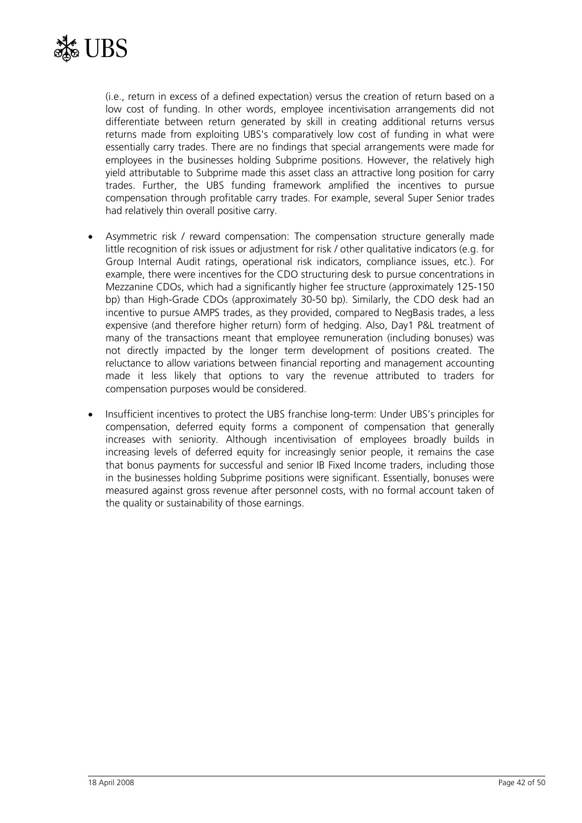

(i.e., return in excess of a defined expectation) versus the creation of return based on a low cost of funding. In other words, employee incentivisation arrangements did not differentiate between return generated by skill in creating additional returns versus returns made from exploiting UBS's comparatively low cost of funding in what were essentially carry trades. There are no findings that special arrangements were made for employees in the businesses holding Subprime positions. However, the relatively high yield attributable to Subprime made this asset class an attractive long position for carry trades. Further, the UBS funding framework amplified the incentives to pursue compensation through profitable carry trades. For example, several Super Senior trades had relatively thin overall positive carry.

- Asymmetric risk / reward compensation: The compensation structure generally made little recognition of risk issues or adjustment for risk / other qualitative indicators (e.g. for Group Internal Audit ratings, operational risk indicators, compliance issues, etc.). For example, there were incentives for the CDO structuring desk to pursue concentrations in Mezzanine CDOs, which had a significantly higher fee structure (approximately 125-150 bp) than High-Grade CDOs (approximately 30-50 bp). Similarly, the CDO desk had an incentive to pursue AMPS trades, as they provided, compared to NegBasis trades, a less expensive (and therefore higher return) form of hedging. Also, Day1 P&L treatment of many of the transactions meant that employee remuneration (including bonuses) was not directly impacted by the longer term development of positions created. The reluctance to allow variations between financial reporting and management accounting made it less likely that options to vary the revenue attributed to traders for compensation purposes would be considered.
- Insufficient incentives to protect the UBS franchise long-term: Under UBS's principles for compensation, deferred equity forms a component of compensation that generally increases with seniority. Although incentivisation of employees broadly builds in increasing levels of deferred equity for increasingly senior people, it remains the case that bonus payments for successful and senior IB Fixed Income traders, including those in the businesses holding Subprime positions were significant. Essentially, bonuses were measured against gross revenue after personnel costs, with no formal account taken of the quality or sustainability of those earnings.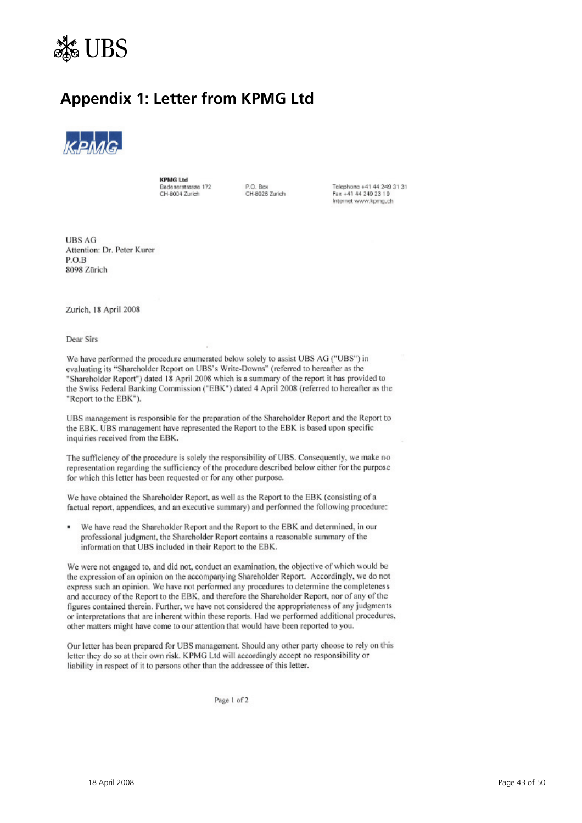

### **Appendix 1: Letter from KPMG Ltd**



KPMG Ltd Badenerstrasse 172 CH-R004 Zurich

P.O. Box CH-8026 Zurich Telephone +41 44 249 31 31 Fax +41 44 249 23 19 Internet www.kpmg.ch

**URS AG** Attention: Dr. Peter Kurer P.O.B 8098 Zürich

Zurich, 18 April 2008

Dear Sirs

We have performed the procedure enumerated below solely to assist UBS AG ("UBS") in evaluating its "Shareholder Report on UBS's Write-Downs" (referred to hereafter as the "Shareholder Report") dated 18 April 2008 which is a summary of the report it has provided to the Swiss Federal Banking Commission ("EBK") dated 4 April 2008 (referred to hereafter as the "Report to the EBK").

UBS management is responsible for the preparation of the Shareholder Report and the Report to the EBK. UBS management have represented the Report to the EBK is based upon specific inquiries received from the EBK.

The sufficiency of the procedure is solely the responsibility of UBS. Consequently, we make no representation regarding the sufficiency of the procedure described below either for the purpose for which this letter has been requested or for any other purpose.

We have obtained the Shareholder Report, as well as the Report to the EBK (consisting of a factual report, appendices, and an executive summary) and performed the following procedure:

We have read the Shareholder Report and the Report to the EBK and determined, in our professional judgment, the Shareholder Report contains a reasonable summary of the information that UBS included in their Report to the EBK.

We were not engaged to, and did not, conduct an examination, the objective of which would be the expression of an opinion on the accompanying Shareholder Report. Accordingly, we do not express such an opinion. We have not performed any procedures to determine the completeness and accuracy of the Report to the EBK, and therefore the Shareholder Report, nor of any of the figures contained therein. Further, we have not considered the appropriateness of any judgments or interpretations that are inherent within these reports. Had we performed additional procedures, other matters might have come to our attention that would have been reported to you.

Our letter has been prepared for UBS management. Should any other party choose to rely on this letter they do so at their own risk. KPMG Ltd will accordingly accept no responsibility or liability in respect of it to persons other than the addressee of this letter.

Page 1 of 2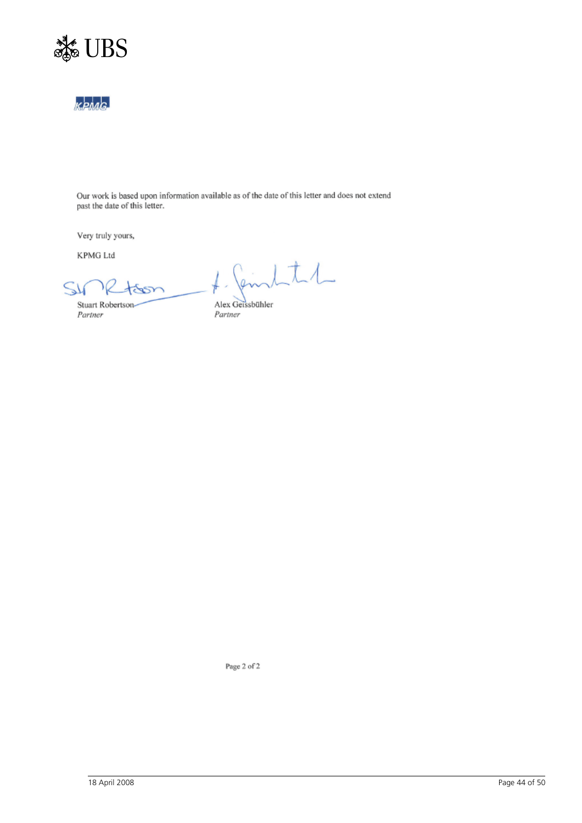



Our work is based upon information available as of the date of this letter and does not extend past the date of this letter.

Very truly yours,

KPMG Ltd

 $\leq$ 

Stuart Robertson Partner

 $L_{\rm L}$ a.

Alex Geissbühler Partner

Page 2 of 2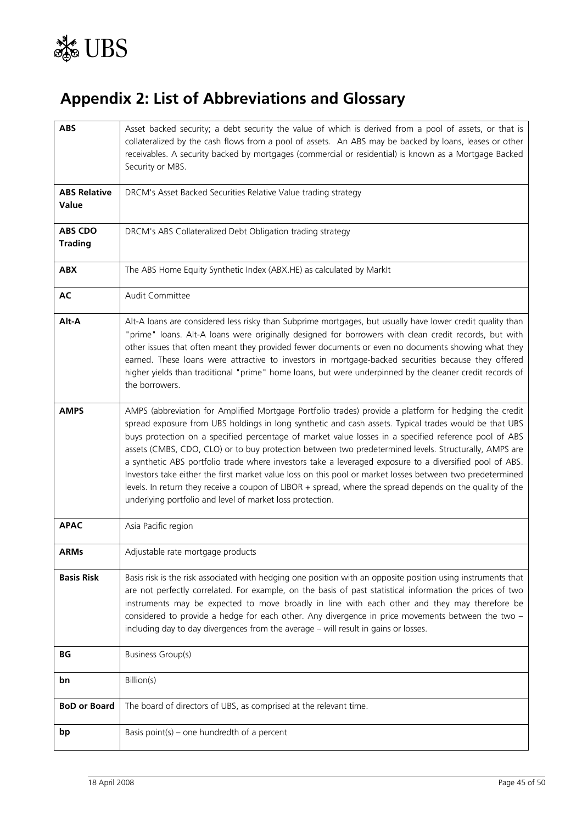

# **Appendix 2: List of Abbreviations and Glossary**

| <b>ABS</b>                          | Asset backed security; a debt security the value of which is derived from a pool of assets, or that is<br>collateralized by the cash flows from a pool of assets. An ABS may be backed by loans, leases or other<br>receivables. A security backed by mortgages (commercial or residential) is known as a Mortgage Backed<br>Security or MBS.                                                                                                                                                                                                                                                                                                                                                                                                                                                                                      |
|-------------------------------------|------------------------------------------------------------------------------------------------------------------------------------------------------------------------------------------------------------------------------------------------------------------------------------------------------------------------------------------------------------------------------------------------------------------------------------------------------------------------------------------------------------------------------------------------------------------------------------------------------------------------------------------------------------------------------------------------------------------------------------------------------------------------------------------------------------------------------------|
| <b>ABS Relative</b><br><b>Value</b> | DRCM's Asset Backed Securities Relative Value trading strategy                                                                                                                                                                                                                                                                                                                                                                                                                                                                                                                                                                                                                                                                                                                                                                     |
| <b>ABS CDO</b><br><b>Trading</b>    | DRCM's ABS Collateralized Debt Obligation trading strategy                                                                                                                                                                                                                                                                                                                                                                                                                                                                                                                                                                                                                                                                                                                                                                         |
| <b>ABX</b>                          | The ABS Home Equity Synthetic Index (ABX.HE) as calculated by MarkIt                                                                                                                                                                                                                                                                                                                                                                                                                                                                                                                                                                                                                                                                                                                                                               |
| AC                                  | <b>Audit Committee</b>                                                                                                                                                                                                                                                                                                                                                                                                                                                                                                                                                                                                                                                                                                                                                                                                             |
| Alt-A                               | Alt-A loans are considered less risky than Subprime mortgages, but usually have lower credit quality than<br>"prime" loans. Alt-A loans were originally designed for borrowers with clean credit records, but with<br>other issues that often meant they provided fewer documents or even no documents showing what they<br>earned. These loans were attractive to investors in mortgage-backed securities because they offered<br>higher yields than traditional "prime" home loans, but were underpinned by the cleaner credit records of<br>the borrowers.                                                                                                                                                                                                                                                                      |
| <b>AMPS</b>                         | AMPS (abbreviation for Amplified Mortgage Portfolio trades) provide a platform for hedging the credit<br>spread exposure from UBS holdings in long synthetic and cash assets. Typical trades would be that UBS<br>buys protection on a specified percentage of market value losses in a specified reference pool of ABS<br>assets (CMBS, CDO, CLO) or to buy protection between two predetermined levels. Structurally, AMPS are<br>a synthetic ABS portfolio trade where investors take a leveraged exposure to a diversified pool of ABS.<br>Investors take either the first market value loss on this pool or market losses between two predetermined<br>levels. In return they receive a coupon of LIBOR + spread, where the spread depends on the quality of the<br>underlying portfolio and level of market loss protection. |
| <b>APAC</b>                         | Asia Pacific region                                                                                                                                                                                                                                                                                                                                                                                                                                                                                                                                                                                                                                                                                                                                                                                                                |
| <b>ARMs</b>                         | Adjustable rate mortgage products                                                                                                                                                                                                                                                                                                                                                                                                                                                                                                                                                                                                                                                                                                                                                                                                  |
| <b>Basis Risk</b>                   | Basis risk is the risk associated with hedging one position with an opposite position using instruments that<br>are not perfectly correlated. For example, on the basis of past statistical information the prices of two<br>instruments may be expected to move broadly in line with each other and they may therefore be<br>considered to provide a hedge for each other. Any divergence in price movements between the two -<br>including day to day divergences from the average - will result in gains or losses.                                                                                                                                                                                                                                                                                                             |
| ΒG                                  | <b>Business Group(s)</b>                                                                                                                                                                                                                                                                                                                                                                                                                                                                                                                                                                                                                                                                                                                                                                                                           |
| bn                                  | Billion(s)                                                                                                                                                                                                                                                                                                                                                                                                                                                                                                                                                                                                                                                                                                                                                                                                                         |
| <b>BoD or Board</b>                 | The board of directors of UBS, as comprised at the relevant time.                                                                                                                                                                                                                                                                                                                                                                                                                                                                                                                                                                                                                                                                                                                                                                  |
| bp                                  | Basis point(s) – one hundredth of a percent                                                                                                                                                                                                                                                                                                                                                                                                                                                                                                                                                                                                                                                                                                                                                                                        |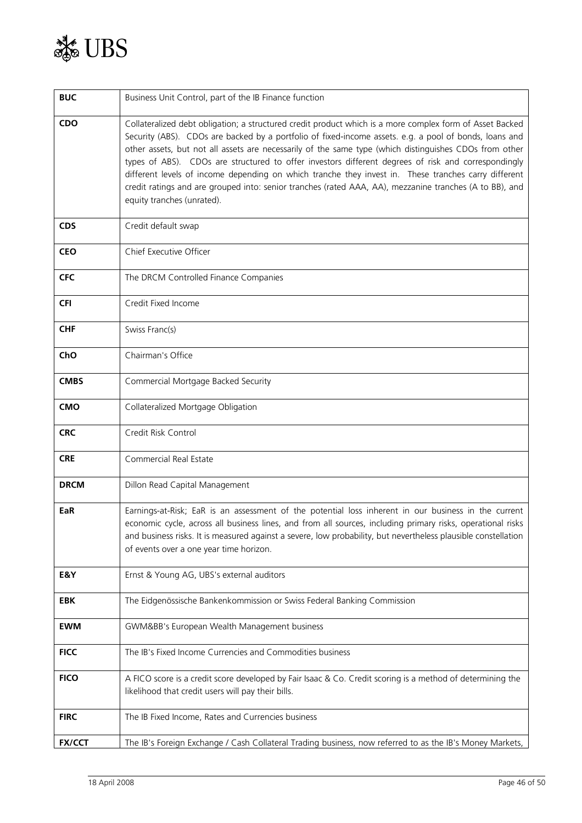

| <b>BUC</b>    | Business Unit Control, part of the IB Finance function                                                                                                                                                                                                                                                                                                                                                                                                                                                                                                                                                                                                                               |
|---------------|--------------------------------------------------------------------------------------------------------------------------------------------------------------------------------------------------------------------------------------------------------------------------------------------------------------------------------------------------------------------------------------------------------------------------------------------------------------------------------------------------------------------------------------------------------------------------------------------------------------------------------------------------------------------------------------|
| <b>CDO</b>    | Collateralized debt obligation; a structured credit product which is a more complex form of Asset Backed<br>Security (ABS). CDOs are backed by a portfolio of fixed-income assets. e.g. a pool of bonds, loans and<br>other assets, but not all assets are necessarily of the same type (which distinguishes CDOs from other<br>types of ABS). CDOs are structured to offer investors different degrees of risk and correspondingly<br>different levels of income depending on which tranche they invest in. These tranches carry different<br>credit ratings and are grouped into: senior tranches (rated AAA, AA), mezzanine tranches (A to BB), and<br>equity tranches (unrated). |
| <b>CDS</b>    | Credit default swap                                                                                                                                                                                                                                                                                                                                                                                                                                                                                                                                                                                                                                                                  |
| <b>CEO</b>    | Chief Executive Officer                                                                                                                                                                                                                                                                                                                                                                                                                                                                                                                                                                                                                                                              |
| <b>CFC</b>    | The DRCM Controlled Finance Companies                                                                                                                                                                                                                                                                                                                                                                                                                                                                                                                                                                                                                                                |
| <b>CFI</b>    | Credit Fixed Income                                                                                                                                                                                                                                                                                                                                                                                                                                                                                                                                                                                                                                                                  |
| <b>CHF</b>    | Swiss Franc(s)                                                                                                                                                                                                                                                                                                                                                                                                                                                                                                                                                                                                                                                                       |
| ChO           | Chairman's Office                                                                                                                                                                                                                                                                                                                                                                                                                                                                                                                                                                                                                                                                    |
| <b>CMBS</b>   | Commercial Mortgage Backed Security                                                                                                                                                                                                                                                                                                                                                                                                                                                                                                                                                                                                                                                  |
| <b>CMO</b>    | Collateralized Mortgage Obligation                                                                                                                                                                                                                                                                                                                                                                                                                                                                                                                                                                                                                                                   |
| <b>CRC</b>    | Credit Risk Control                                                                                                                                                                                                                                                                                                                                                                                                                                                                                                                                                                                                                                                                  |
| <b>CRE</b>    | Commercial Real Estate                                                                                                                                                                                                                                                                                                                                                                                                                                                                                                                                                                                                                                                               |
| <b>DRCM</b>   | Dillon Read Capital Management                                                                                                                                                                                                                                                                                                                                                                                                                                                                                                                                                                                                                                                       |
| EaR           | Earnings-at-Risk; EaR is an assessment of the potential loss inherent in our business in the current<br>economic cycle, across all business lines, and from all sources, including primary risks, operational risks<br>and business risks. It is measured against a severe, low probability, but nevertheless plausible constellation<br>of events over a one year time horizon.                                                                                                                                                                                                                                                                                                     |
| E&Y           | Ernst & Young AG, UBS's external auditors                                                                                                                                                                                                                                                                                                                                                                                                                                                                                                                                                                                                                                            |
| EBK           | The Eidgenössische Bankenkommission or Swiss Federal Banking Commission                                                                                                                                                                                                                                                                                                                                                                                                                                                                                                                                                                                                              |
| <b>EWM</b>    | GWM&BB's European Wealth Management business                                                                                                                                                                                                                                                                                                                                                                                                                                                                                                                                                                                                                                         |
| <b>FICC</b>   | The IB's Fixed Income Currencies and Commodities business                                                                                                                                                                                                                                                                                                                                                                                                                                                                                                                                                                                                                            |
| <b>FICO</b>   | A FICO score is a credit score developed by Fair Isaac & Co. Credit scoring is a method of determining the<br>likelihood that credit users will pay their bills.                                                                                                                                                                                                                                                                                                                                                                                                                                                                                                                     |
| <b>FIRC</b>   | The IB Fixed Income, Rates and Currencies business                                                                                                                                                                                                                                                                                                                                                                                                                                                                                                                                                                                                                                   |
| <b>FX/CCT</b> | The IB's Foreign Exchange / Cash Collateral Trading business, now referred to as the IB's Money Markets,                                                                                                                                                                                                                                                                                                                                                                                                                                                                                                                                                                             |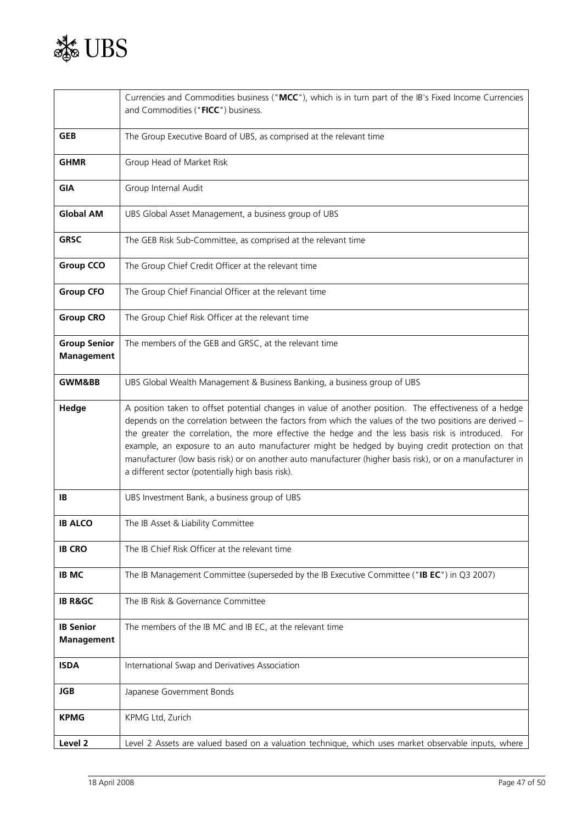

|                                          | Currencies and Commodities business ("MCC"), which is in turn part of the IB's Fixed Income Currencies<br>and Commodities ("FICC") business.                                                                                                                                                                                                                                                                                                                                                                                                                                                      |
|------------------------------------------|---------------------------------------------------------------------------------------------------------------------------------------------------------------------------------------------------------------------------------------------------------------------------------------------------------------------------------------------------------------------------------------------------------------------------------------------------------------------------------------------------------------------------------------------------------------------------------------------------|
|                                          |                                                                                                                                                                                                                                                                                                                                                                                                                                                                                                                                                                                                   |
| <b>GEB</b>                               | The Group Executive Board of UBS, as comprised at the relevant time                                                                                                                                                                                                                                                                                                                                                                                                                                                                                                                               |
| <b>GHMR</b>                              | Group Head of Market Risk                                                                                                                                                                                                                                                                                                                                                                                                                                                                                                                                                                         |
| <b>GIA</b>                               | Group Internal Audit                                                                                                                                                                                                                                                                                                                                                                                                                                                                                                                                                                              |
| <b>Global AM</b>                         | UBS Global Asset Management, a business group of UBS                                                                                                                                                                                                                                                                                                                                                                                                                                                                                                                                              |
| <b>GRSC</b>                              | The GEB Risk Sub-Committee, as comprised at the relevant time                                                                                                                                                                                                                                                                                                                                                                                                                                                                                                                                     |
| <b>Group CCO</b>                         | The Group Chief Credit Officer at the relevant time                                                                                                                                                                                                                                                                                                                                                                                                                                                                                                                                               |
| <b>Group CFO</b>                         | The Group Chief Financial Officer at the relevant time                                                                                                                                                                                                                                                                                                                                                                                                                                                                                                                                            |
| <b>Group CRO</b>                         | The Group Chief Risk Officer at the relevant time                                                                                                                                                                                                                                                                                                                                                                                                                                                                                                                                                 |
| <b>Group Senior</b><br><b>Management</b> | The members of the GEB and GRSC, at the relevant time                                                                                                                                                                                                                                                                                                                                                                                                                                                                                                                                             |
| GWM&BB                                   | UBS Global Wealth Management & Business Banking, a business group of UBS                                                                                                                                                                                                                                                                                                                                                                                                                                                                                                                          |
| Hedge                                    | A position taken to offset potential changes in value of another position. The effectiveness of a hedge<br>depends on the correlation between the factors from which the values of the two positions are derived -<br>the greater the correlation, the more effective the hedge and the less basis risk is introduced. For<br>example, an exposure to an auto manufacturer might be hedged by buying credit protection on that<br>manufacturer (low basis risk) or on another auto manufacturer (higher basis risk), or on a manufacturer in<br>a different sector (potentially high basis risk). |
| IB                                       | UBS Investment Bank, a business group of UBS                                                                                                                                                                                                                                                                                                                                                                                                                                                                                                                                                      |
| <b>IB ALCO</b>                           | The IB Asset & Liability Committee                                                                                                                                                                                                                                                                                                                                                                                                                                                                                                                                                                |
| <b>IB CRO</b>                            | The IB Chief Risk Officer at the relevant time                                                                                                                                                                                                                                                                                                                                                                                                                                                                                                                                                    |
| <b>IB MC</b>                             | The IB Management Committee (superseded by the IB Executive Committee ("IB EC") in Q3 2007)                                                                                                                                                                                                                                                                                                                                                                                                                                                                                                       |
| <b>IB R&amp;GC</b>                       | The IB Risk & Governance Committee                                                                                                                                                                                                                                                                                                                                                                                                                                                                                                                                                                |
| <b>IB Senior</b><br>Management           | The members of the IB MC and IB EC, at the relevant time                                                                                                                                                                                                                                                                                                                                                                                                                                                                                                                                          |
| <b>ISDA</b>                              | International Swap and Derivatives Association                                                                                                                                                                                                                                                                                                                                                                                                                                                                                                                                                    |
| <b>JGB</b>                               | Japanese Government Bonds                                                                                                                                                                                                                                                                                                                                                                                                                                                                                                                                                                         |
| <b>KPMG</b>                              | KPMG Ltd, Zurich                                                                                                                                                                                                                                                                                                                                                                                                                                                                                                                                                                                  |
| Level 2                                  | Level 2 Assets are valued based on a valuation technique, which uses market observable inputs, where                                                                                                                                                                                                                                                                                                                                                                                                                                                                                              |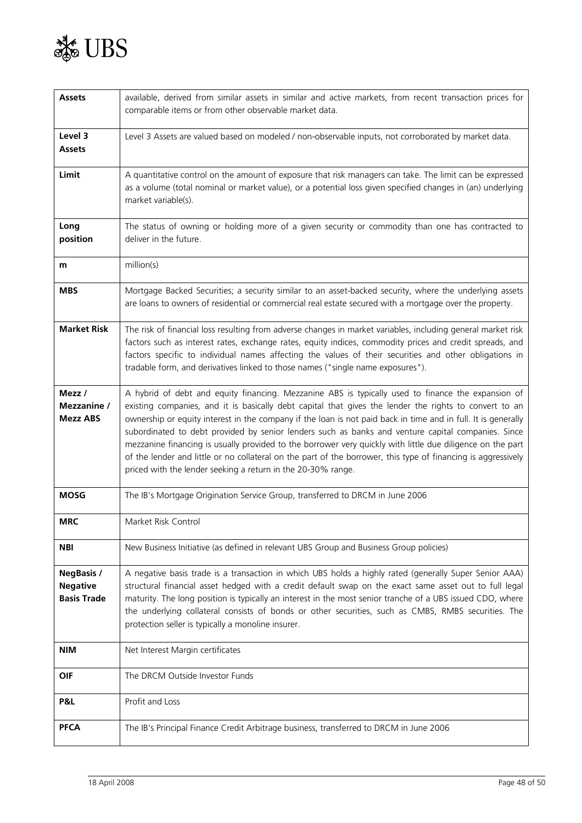

| <b>Assets</b>                                              | available, derived from similar assets in similar and active markets, from recent transaction prices for<br>comparable items or from other observable market data.                                                                                                                                                                                                                                                                                                                                                                                                                                                                                                                                                                 |
|------------------------------------------------------------|------------------------------------------------------------------------------------------------------------------------------------------------------------------------------------------------------------------------------------------------------------------------------------------------------------------------------------------------------------------------------------------------------------------------------------------------------------------------------------------------------------------------------------------------------------------------------------------------------------------------------------------------------------------------------------------------------------------------------------|
| Level 3<br><b>Assets</b>                                   | Level 3 Assets are valued based on modeled / non-observable inputs, not corroborated by market data.                                                                                                                                                                                                                                                                                                                                                                                                                                                                                                                                                                                                                               |
| Limit                                                      | A quantitative control on the amount of exposure that risk managers can take. The limit can be expressed<br>as a volume (total nominal or market value), or a potential loss given specified changes in (an) underlying<br>market variable(s).                                                                                                                                                                                                                                                                                                                                                                                                                                                                                     |
| Long<br>position                                           | The status of owning or holding more of a given security or commodity than one has contracted to<br>deliver in the future.                                                                                                                                                                                                                                                                                                                                                                                                                                                                                                                                                                                                         |
| m                                                          | million(s)                                                                                                                                                                                                                                                                                                                                                                                                                                                                                                                                                                                                                                                                                                                         |
| <b>MBS</b>                                                 | Mortgage Backed Securities; a security similar to an asset-backed security, where the underlying assets<br>are loans to owners of residential or commercial real estate secured with a mortgage over the property.                                                                                                                                                                                                                                                                                                                                                                                                                                                                                                                 |
| <b>Market Risk</b>                                         | The risk of financial loss resulting from adverse changes in market variables, including general market risk<br>factors such as interest rates, exchange rates, equity indices, commodity prices and credit spreads, and<br>factors specific to individual names affecting the values of their securities and other obligations in<br>tradable form, and derivatives linked to those names ("single name exposures").                                                                                                                                                                                                                                                                                                              |
| Mezz /<br>Mezzanine /<br><b>Mezz ABS</b>                   | A hybrid of debt and equity financing. Mezzanine ABS is typically used to finance the expansion of<br>existing companies, and it is basically debt capital that gives the lender the rights to convert to an<br>ownership or equity interest in the company if the loan is not paid back in time and in full. It is generally<br>subordinated to debt provided by senior lenders such as banks and venture capital companies. Since<br>mezzanine financing is usually provided to the borrower very quickly with little due diligence on the part<br>of the lender and little or no collateral on the part of the borrower, this type of financing is aggressively<br>priced with the lender seeking a return in the 20-30% range. |
| <b>MOSG</b>                                                | The IB's Mortgage Origination Service Group, transferred to DRCM in June 2006                                                                                                                                                                                                                                                                                                                                                                                                                                                                                                                                                                                                                                                      |
| <b>MRC</b>                                                 | Market Risk Control                                                                                                                                                                                                                                                                                                                                                                                                                                                                                                                                                                                                                                                                                                                |
| <b>NBI</b>                                                 | New Business Initiative (as defined in relevant UBS Group and Business Group policies)                                                                                                                                                                                                                                                                                                                                                                                                                                                                                                                                                                                                                                             |
| <b>NegBasis /</b><br><b>Negative</b><br><b>Basis Trade</b> | A negative basis trade is a transaction in which UBS holds a highly rated (generally Super Senior AAA)<br>structural financial asset hedged with a credit default swap on the exact same asset out to full legal<br>maturity. The long position is typically an interest in the most senior tranche of a UBS issued CDO, where<br>the underlying collateral consists of bonds or other securities, such as CMBS, RMBS securities. The<br>protection seller is typically a monoline insurer.                                                                                                                                                                                                                                        |
| <b>NIM</b>                                                 | Net Interest Margin certificates                                                                                                                                                                                                                                                                                                                                                                                                                                                                                                                                                                                                                                                                                                   |
| OIF                                                        | The DRCM Outside Investor Funds                                                                                                                                                                                                                                                                                                                                                                                                                                                                                                                                                                                                                                                                                                    |
| P&L                                                        | Profit and Loss                                                                                                                                                                                                                                                                                                                                                                                                                                                                                                                                                                                                                                                                                                                    |
| <b>PFCA</b>                                                | The IB's Principal Finance Credit Arbitrage business, transferred to DRCM in June 2006                                                                                                                                                                                                                                                                                                                                                                                                                                                                                                                                                                                                                                             |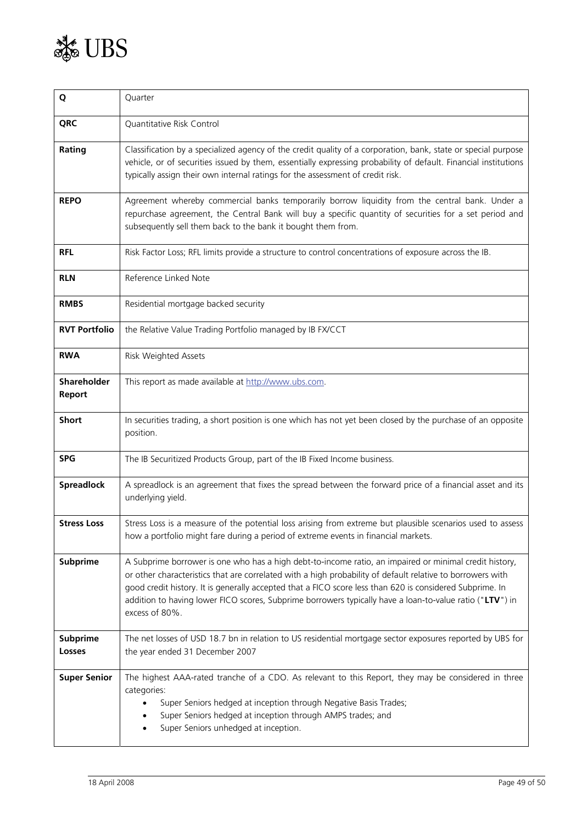

| Q                                | Quarter                                                                                                                                                                                                                                                                                                                                                                                                                                                        |
|----------------------------------|----------------------------------------------------------------------------------------------------------------------------------------------------------------------------------------------------------------------------------------------------------------------------------------------------------------------------------------------------------------------------------------------------------------------------------------------------------------|
| QRC                              | Quantitative Risk Control                                                                                                                                                                                                                                                                                                                                                                                                                                      |
| Rating                           | Classification by a specialized agency of the credit quality of a corporation, bank, state or special purpose<br>vehicle, or of securities issued by them, essentially expressing probability of default. Financial institutions<br>typically assign their own internal ratings for the assessment of credit risk.                                                                                                                                             |
| <b>REPO</b>                      | Agreement whereby commercial banks temporarily borrow liquidity from the central bank. Under a<br>repurchase agreement, the Central Bank will buy a specific quantity of securities for a set period and<br>subsequently sell them back to the bank it bought them from.                                                                                                                                                                                       |
| <b>RFL</b>                       | Risk Factor Loss; RFL limits provide a structure to control concentrations of exposure across the IB.                                                                                                                                                                                                                                                                                                                                                          |
| <b>RLN</b>                       | Reference Linked Note                                                                                                                                                                                                                                                                                                                                                                                                                                          |
| <b>RMBS</b>                      | Residential mortgage backed security                                                                                                                                                                                                                                                                                                                                                                                                                           |
| <b>RVT Portfolio</b>             | the Relative Value Trading Portfolio managed by IB FX/CCT                                                                                                                                                                                                                                                                                                                                                                                                      |
| <b>RWA</b>                       | Risk Weighted Assets                                                                                                                                                                                                                                                                                                                                                                                                                                           |
| <b>Shareholder</b><br>Report     | This report as made available at http://www.ubs.com.                                                                                                                                                                                                                                                                                                                                                                                                           |
| <b>Short</b>                     | In securities trading, a short position is one which has not yet been closed by the purchase of an opposite<br>position.                                                                                                                                                                                                                                                                                                                                       |
| <b>SPG</b>                       | The IB Securitized Products Group, part of the IB Fixed Income business.                                                                                                                                                                                                                                                                                                                                                                                       |
| <b>Spreadlock</b>                | A spreadlock is an agreement that fixes the spread between the forward price of a financial asset and its<br>underlying yield.                                                                                                                                                                                                                                                                                                                                 |
| <b>Stress Loss</b>               | Stress Loss is a measure of the potential loss arising from extreme but plausible scenarios used to assess<br>how a portfolio might fare during a period of extreme events in financial markets.                                                                                                                                                                                                                                                               |
| <b>Subprime</b>                  | A Subprime borrower is one who has a high debt-to-income ratio, an impaired or minimal credit history,<br>or other characteristics that are correlated with a high probability of default relative to borrowers with<br>good credit history. It is generally accepted that a FICO score less than 620 is considered Subprime. In<br>addition to having lower FICO scores, Subprime borrowers typically have a loan-to-value ratio ("LTV") in<br>excess of 80%. |
| <b>Subprime</b><br><b>Losses</b> | The net losses of USD 18.7 bn in relation to US residential mortgage sector exposures reported by UBS for<br>the year ended 31 December 2007                                                                                                                                                                                                                                                                                                                   |
| <b>Super Senior</b>              | The highest AAA-rated tranche of a CDO. As relevant to this Report, they may be considered in three<br>categories:<br>Super Seniors hedged at inception through Negative Basis Trades;<br>$\bullet$<br>Super Seniors hedged at inception through AMPS trades; and<br>Super Seniors unhedged at inception.                                                                                                                                                      |